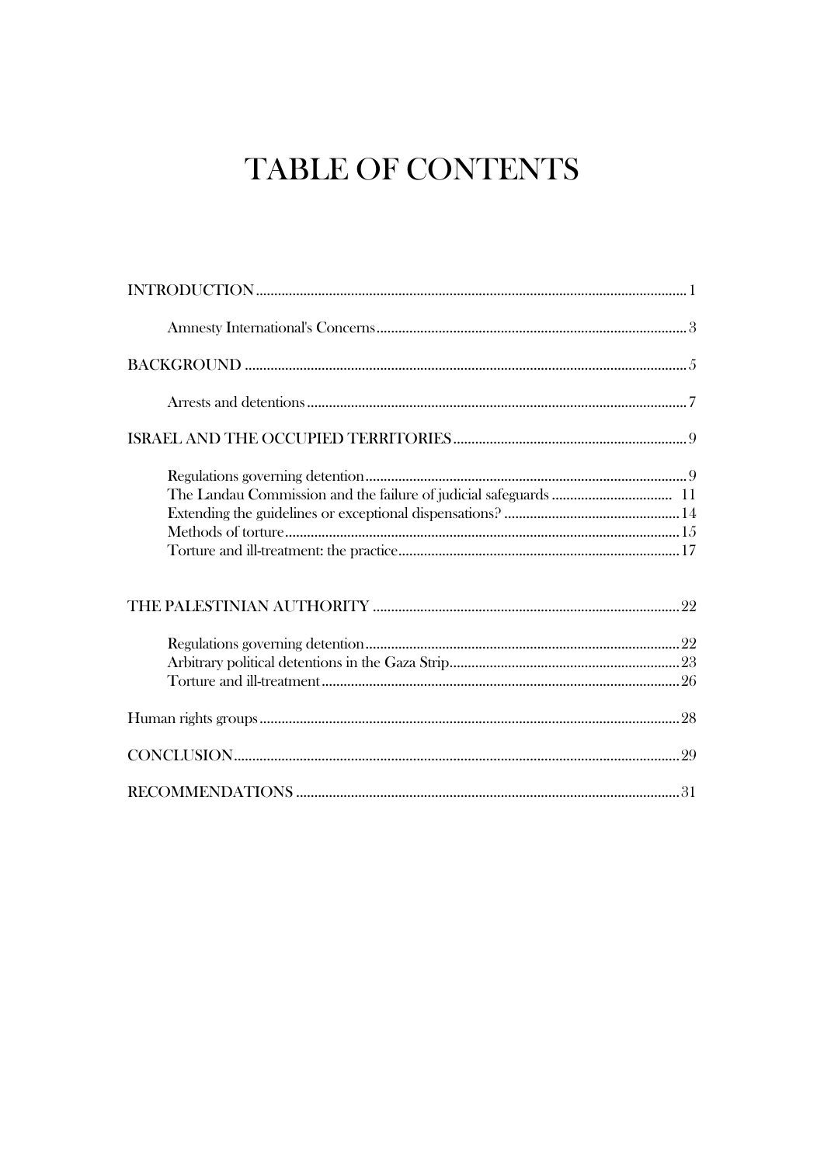## TABLE OF CONTENTS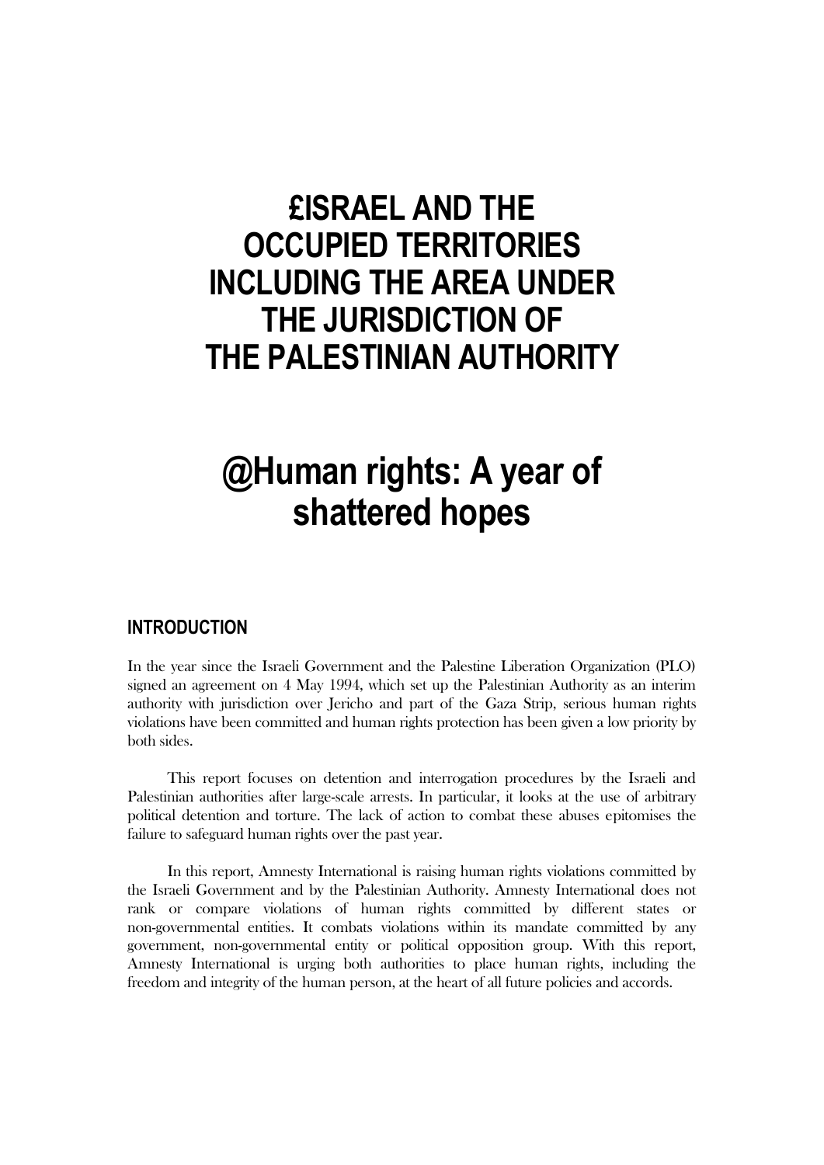## **£ISRAEL AND THE OCCUPIED TERRITORIES INCLUDING THE AREA UNDER THE JURISDICTION OF THE PALESTINIAN AUTHORITY**

# **@Human rights: A year of shattered hopes**

## **INTRODUCTION**

In the year since the Israeli Government and the Palestine Liberation Organization (PLO) signed an agreement on 4 May 1994, which set up the Palestinian Authority as an interim authority with jurisdiction over Jericho and part of the Gaza Strip, serious human rights violations have been committed and human rights protection has been given a low priority by both sides.

This report focuses on detention and interrogation procedures by the Israeli and Palestinian authorities after large-scale arrests. In particular, it looks at the use of arbitrary political detention and torture. The lack of action to combat these abuses epitomises the failure to safeguard human rights over the past year.

In this report, Amnesty International is raising human rights violations committed by the Israeli Government and by the Palestinian Authority. Amnesty International does not rank or compare violations of human rights committed by different states or non-governmental entities. It combats violations within its mandate committed by any government, non-governmental entity or political opposition group. With this report, Amnesty International is urging both authorities to place human rights, including the freedom and integrity of the human person, at the heart of all future policies and accords.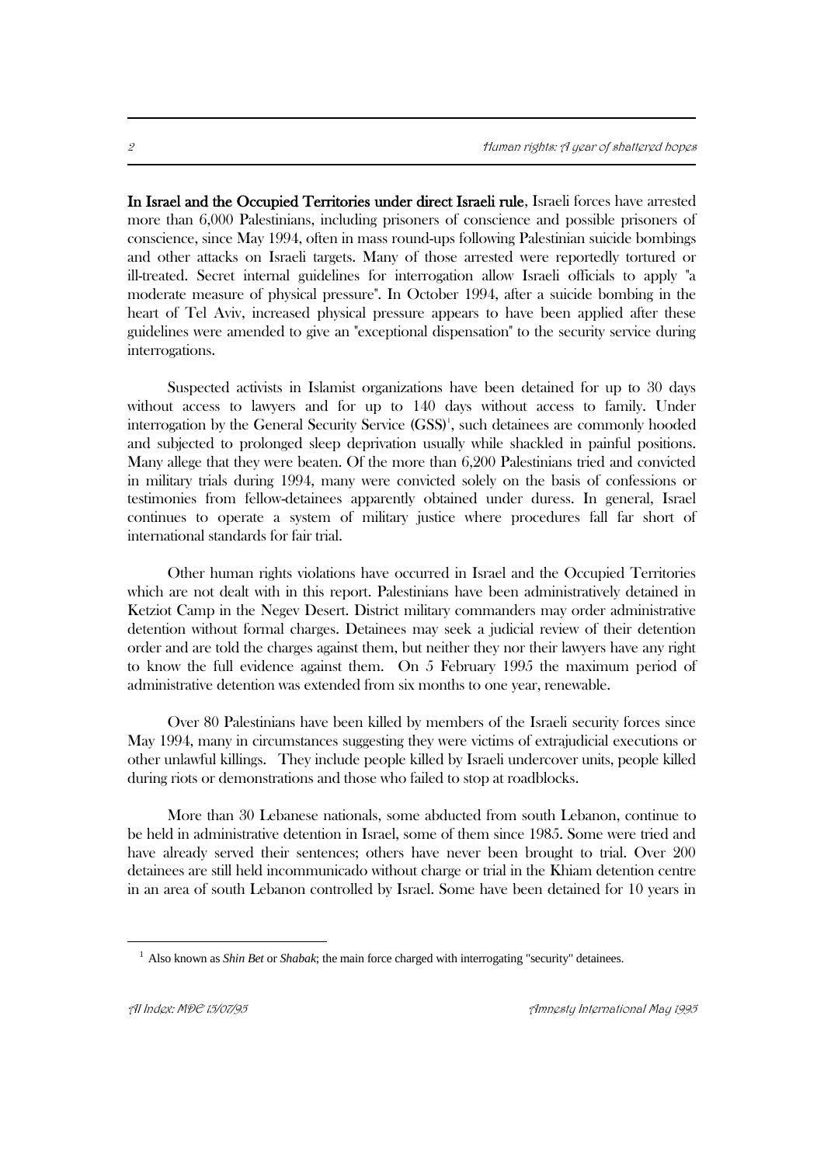In Israel and the Occupied Territories under direct Israeli rule, Israeli forces have arrested more than 6,000 Palestinians, including prisoners of conscience and possible prisoners of conscience, since May 1994, often in mass round-ups following Palestinian suicide bombings and other attacks on Israeli targets. Many of those arrested were reportedly tortured or ill-treated. Secret internal guidelines for interrogation allow Israeli officials to apply "a moderate measure of physical pressure". In October 1994, after a suicide bombing in the heart of Tel Aviv, increased physical pressure appears to have been applied after these guidelines were amended to give an "exceptional dispensation" to the security service during interrogations.

Suspected activists in Islamist organizations have been detained for up to 30 days without access to lawyers and for up to 140 days without access to family. Under interrogation by the General Security Service (GSS)<sup>1</sup>, such detainees are commonly hooded and subjected to prolonged sleep deprivation usually while shackled in painful positions. Many allege that they were beaten. Of the more than 6,200 Palestinians tried and convicted in military trials during 1994, many were convicted solely on the basis of confessions or testimonies from fellow-detainees apparently obtained under duress. In general, Israel continues to operate a system of military justice where procedures fall far short of international standards for fair trial.

Other human rights violations have occurred in Israel and the Occupied Territories which are not dealt with in this report. Palestinians have been administratively detained in Ketziot Camp in the Negev Desert. District military commanders may order administrative detention without formal charges. Detainees may seek a judicial review of their detention order and are told the charges against them, but neither they nor their lawyers have any right to know the full evidence against them. On 5 February 1995 the maximum period of administrative detention was extended from six months to one year, renewable.

Over 80 Palestinians have been killed by members of the Israeli security forces since May 1994, many in circumstances suggesting they were victims of extrajudicial executions or other unlawful killings. They include people killed by Israeli undercover units, people killed during riots or demonstrations and those who failed to stop at roadblocks.

More than 30 Lebanese nationals, some abducted from south Lebanon, continue to be held in administrative detention in Israel, some of them since 1985. Some were tried and have already served their sentences; others have never been brought to trial. Over 200 detainees are still held incommunicado without charge or trial in the Khiam detention centre in an area of south Lebanon controlled by Israel. Some have been detained for 10 years in

<sup>&</sup>lt;sup>1</sup> Also known as *Shin Bet* or *Shabak*; the main force charged with interrogating "security" detainees.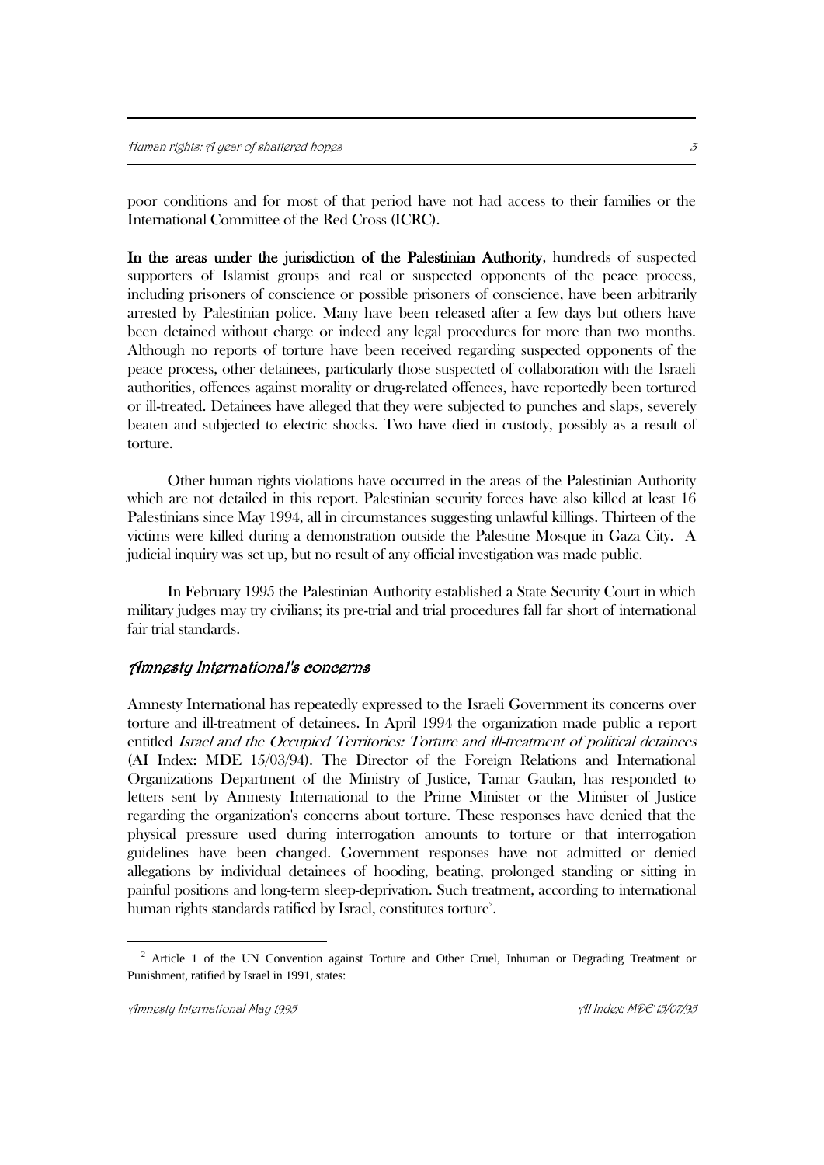poor conditions and for most of that period have not had access to their families or the International Committee of the Red Cross (ICRC).

In the areas under the jurisdiction of the Palestinian Authority, hundreds of suspected supporters of Islamist groups and real or suspected opponents of the peace process, including prisoners of conscience or possible prisoners of conscience, have been arbitrarily arrested by Palestinian police. Many have been released after a few days but others have been detained without charge or indeed any legal procedures for more than two months. Although no reports of torture have been received regarding suspected opponents of the peace process, other detainees, particularly those suspected of collaboration with the Israeli authorities, offences against morality or drug-related offences, have reportedly been tortured or ill-treated. Detainees have alleged that they were subjected to punches and slaps, severely beaten and subjected to electric shocks. Two have died in custody, possibly as a result of torture.

Other human rights violations have occurred in the areas of the Palestinian Authority which are not detailed in this report. Palestinian security forces have also killed at least 16 Palestinians since May 1994, all in circumstances suggesting unlawful killings. Thirteen of the victims were killed during a demonstration outside the Palestine Mosque in Gaza City. A judicial inquiry was set up, but no result of any official investigation was made public.

In February 1995 the Palestinian Authority established a State Security Court in which military judges may try civilians; its pre-trial and trial procedures fall far short of international fair trial standards.

#### Amnesty International's concerns

Amnesty International has repeatedly expressed to the Israeli Government its concerns over torture and ill-treatment of detainees. In April 1994 the organization made public a report entitled Israel and the Occupied Territories: Torture and ill-treatment of political detainees (AI Index: MDE 15/03/94). The Director of the Foreign Relations and International Organizations Department of the Ministry of Justice, Tamar Gaulan, has responded to letters sent by Amnesty International to the Prime Minister or the Minister of Justice regarding the organization's concerns about torture. These responses have denied that the physical pressure used during interrogation amounts to torture or that interrogation guidelines have been changed. Government responses have not admitted or denied allegations by individual detainees of hooding, beating, prolonged standing or sitting in painful positions and long-term sleep-deprivation. Such treatment, according to international human rights standards ratified by Israel, constitutes torture $\degree.$ 

<sup>&</sup>lt;sup>2</sup> Article 1 of the UN Convention against Torture and Other Cruel, Inhuman or Degrading Treatment or Punishment, ratified by Israel in 1991, states: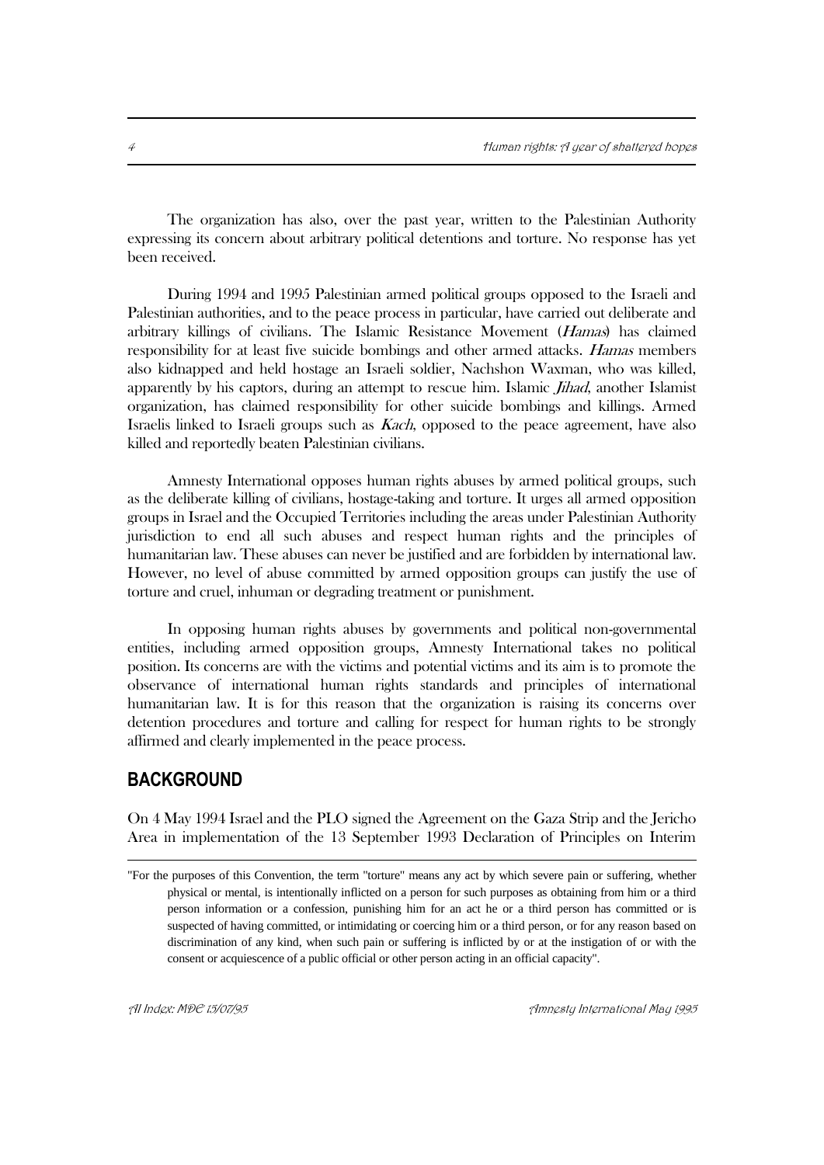The organization has also, over the past year, written to the Palestinian Authority expressing its concern about arbitrary political detentions and torture. No response has yet been received.

During 1994 and 1995 Palestinian armed political groups opposed to the Israeli and Palestinian authorities, and to the peace process in particular, have carried out deliberate and arbitrary killings of civilians. The Islamic Resistance Movement (Hamas) has claimed responsibility for at least five suicide bombings and other armed attacks. Hamas members also kidnapped and held hostage an Israeli soldier, Nachshon Waxman, who was killed, apparently by his captors, during an attempt to rescue him. Islamic *Jihad*, another Islamist organization, has claimed responsibility for other suicide bombings and killings. Armed Israelis linked to Israeli groups such as Kach, opposed to the peace agreement, have also killed and reportedly beaten Palestinian civilians.

Amnesty International opposes human rights abuses by armed political groups, such as the deliberate killing of civilians, hostage-taking and torture. It urges all armed opposition groups in Israel and the Occupied Territories including the areas under Palestinian Authority jurisdiction to end all such abuses and respect human rights and the principles of humanitarian law. These abuses can never be justified and are forbidden by international law. However, no level of abuse committed by armed opposition groups can justify the use of torture and cruel, inhuman or degrading treatment or punishment.

In opposing human rights abuses by governments and political non-governmental entities, including armed opposition groups, Amnesty International takes no political position. Its concerns are with the victims and potential victims and its aim is to promote the observance of international human rights standards and principles of international humanitarian law. It is for this reason that the organization is raising its concerns over detention procedures and torture and calling for respect for human rights to be strongly affirmed and clearly implemented in the peace process.

## **BACKGROUND**

1

On 4 May 1994 Israel and the PLO signed the Agreement on the Gaza Strip and the Jericho Area in implementation of the 13 September 1993 Declaration of Principles on Interim

<sup>&</sup>quot;For the purposes of this Convention, the term "torture" means any act by which severe pain or suffering, whether physical or mental, is intentionally inflicted on a person for such purposes as obtaining from him or a third person information or a confession, punishing him for an act he or a third person has committed or is suspected of having committed, or intimidating or coercing him or a third person, or for any reason based on discrimination of any kind, when such pain or suffering is inflicted by or at the instigation of or with the consent or acquiescence of a public official or other person acting in an official capacity".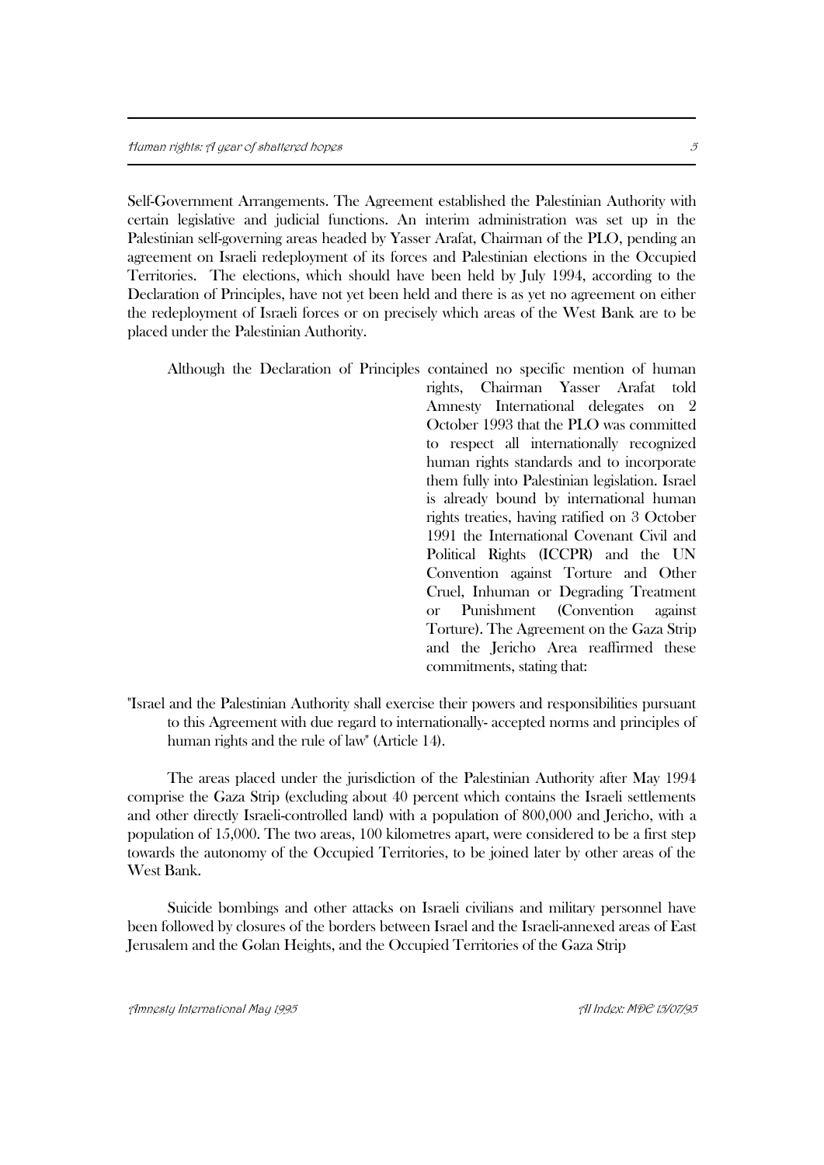Self-Government Arrangements. The Agreement established the Palestinian Authority with certain legislative and judicial functions. An interim administration was set up in the Palestinian self-governing areas headed by Yasser Arafat, Chairman of the PLO, pending an agreement on Israeli redeployment of its forces and Palestinian elections in the Occupied Territories. The elections, which should have been held by July 1994, according to the Declaration of Principles, have not yet been held and there is as yet no agreement on either the redeployment of Israeli forces or on precisely which areas of the West Bank are to be placed under the Palestinian Authority.

|  | Although the Declaration of Principles contained no specific mention of human |
|--|-------------------------------------------------------------------------------|
|  | rights, Chairman Yasser Arafat told                                           |
|  | Amnesty International delegates on 2                                          |
|  | October 1993 that the PLO was committed                                       |
|  | to respect all internationally recognized                                     |
|  | human rights standards and to incorporate                                     |
|  | them fully into Palestinian legislation. Israel                               |
|  | is already bound by international human                                       |
|  | rights treaties, having ratified on 3 October                                 |
|  | 1991 the International Covenant Civil and                                     |
|  | Political Rights (ICCPR) and the UN                                           |
|  | Convention against Torture and Other                                          |
|  | Cruel, Inhuman or Degrading Treatment                                         |
|  | Punishment (Convention against<br><sub>or</sub>                               |
|  | Torture). The Agreement on the Gaza Strip                                     |
|  | and the Jericho Area reaffirmed these                                         |
|  | commitments, stating that:                                                    |
|  |                                                                               |

"Israel and the Palestinian Authority shall exercise their powers and responsibilities pursuant to this Agreement with due regard to internationally- accepted norms and principles of human rights and the rule of law" (Article 14).

The areas placed under the jurisdiction of the Palestinian Authority after May 1994 comprise the Gaza Strip (excluding about 40 percent which contains the Israeli settlements and other directly Israeli-controlled land) with a population of 800,000 and Jericho, with a population of 15,000. The two areas, 100 kilometres apart, were considered to be a first step towards the autonomy of the Occupied Territories, to be joined later by other areas of the West Bank.

Suicide bombings and other attacks on Israeli civilians and military personnel have been followed by closures of the borders between Israel and the Israeli-annexed areas of East Jerusalem and the Golan Heights, and the Occupied Territories of the Gaza Strip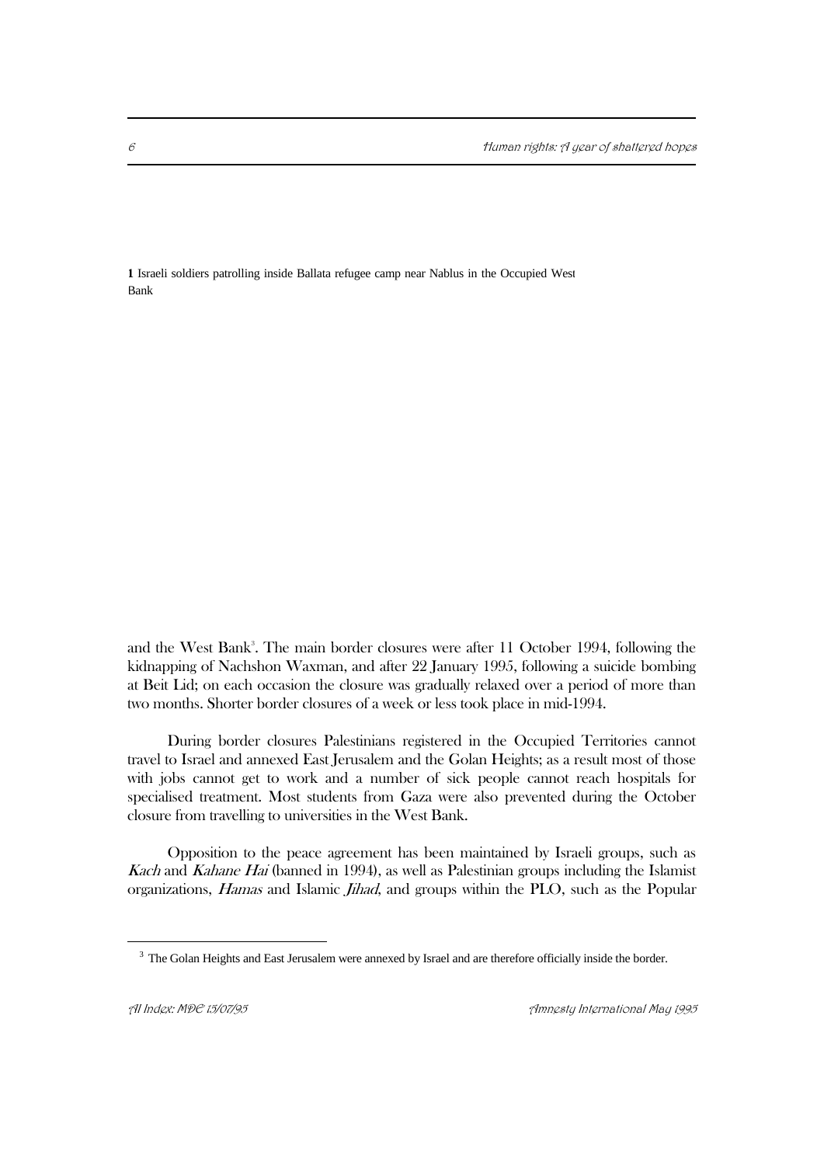**1** Israeli soldiers patrolling inside Ballata refugee camp near Nablus in the Occupied West Bank

and the West Bank<sup>3</sup>. The main border closures were after 11 October 1994, following the kidnapping of Nachshon Waxman, and after 22 January 1995, following a suicide bombing at Beit Lid; on each occasion the closure was gradually relaxed over a period of more than two months. Shorter border closures of a week or less took place in mid-1994.

During border closures Palestinians registered in the Occupied Territories cannot travel to Israel and annexed East Jerusalem and the Golan Heights; as a result most of those with jobs cannot get to work and a number of sick people cannot reach hospitals for specialised treatment. Most students from Gaza were also prevented during the October closure from travelling to universities in the West Bank.

Opposition to the peace agreement has been maintained by Israeli groups, such as Kach and Kahane Hai (banned in 1994), as well as Palestinian groups including the Islamist organizations, Hamas and Islamic Jihad, and groups within the PLO, such as the Popular

<sup>&</sup>lt;sup>3</sup> The Golan Heights and East Jerusalem were annexed by Israel and are therefore officially inside the border.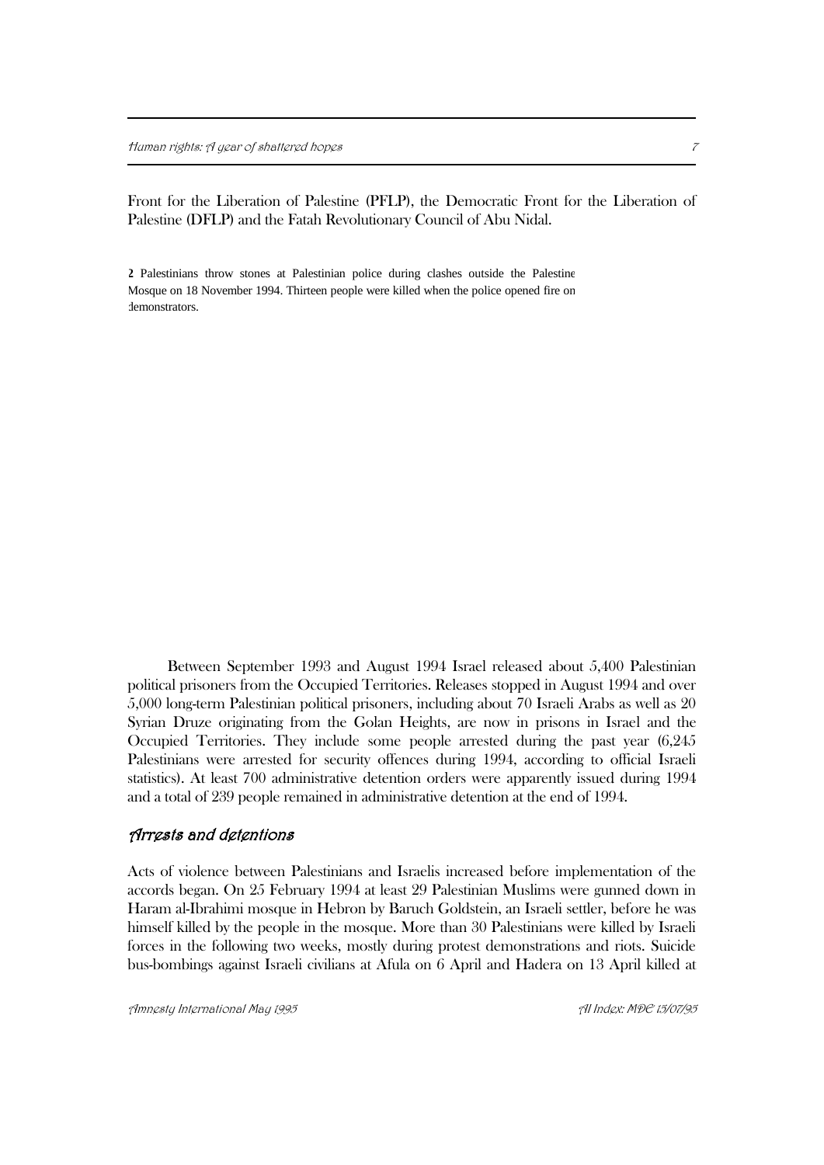Front for the Liberation of Palestine (PFLP), the Democratic Front for the Liberation of Palestine (DFLP) and the Fatah Revolutionary Council of Abu Nidal.

**2** Palestinians throw stones at Palestinian police during clashes outside the Palestine Mosque on 18 November 1994. Thirteen people were killed when the police opened fire on demonstrators.

Between September 1993 and August 1994 Israel released about 5,400 Palestinian political prisoners from the Occupied Territories. Releases stopped in August 1994 and over 5,000 long-term Palestinian political prisoners, including about 70 Israeli Arabs as well as 20 Syrian Druze originating from the Golan Heights, are now in prisons in Israel and the Occupied Territories. They include some people arrested during the past year (6,245 Palestinians were arrested for security offences during 1994, according to official Israeli statistics). At least 700 administrative detention orders were apparently issued during 1994 and a total of 239 people remained in administrative detention at the end of 1994.

#### Arrests and detentions

Acts of violence between Palestinians and Israelis increased before implementation of the accords began. On 25 February 1994 at least 29 Palestinian Muslims were gunned down in Haram al-Ibrahimi mosque in Hebron by Baruch Goldstein, an Israeli settler, before he was himself killed by the people in the mosque. More than 30 Palestinians were killed by Israeli forces in the following two weeks, mostly during protest demonstrations and riots. Suicide bus-bombings against Israeli civilians at Afula on 6 April and Hadera on 13 April killed at

Amnesty International May 1995 AI Index: MDE 15/07/95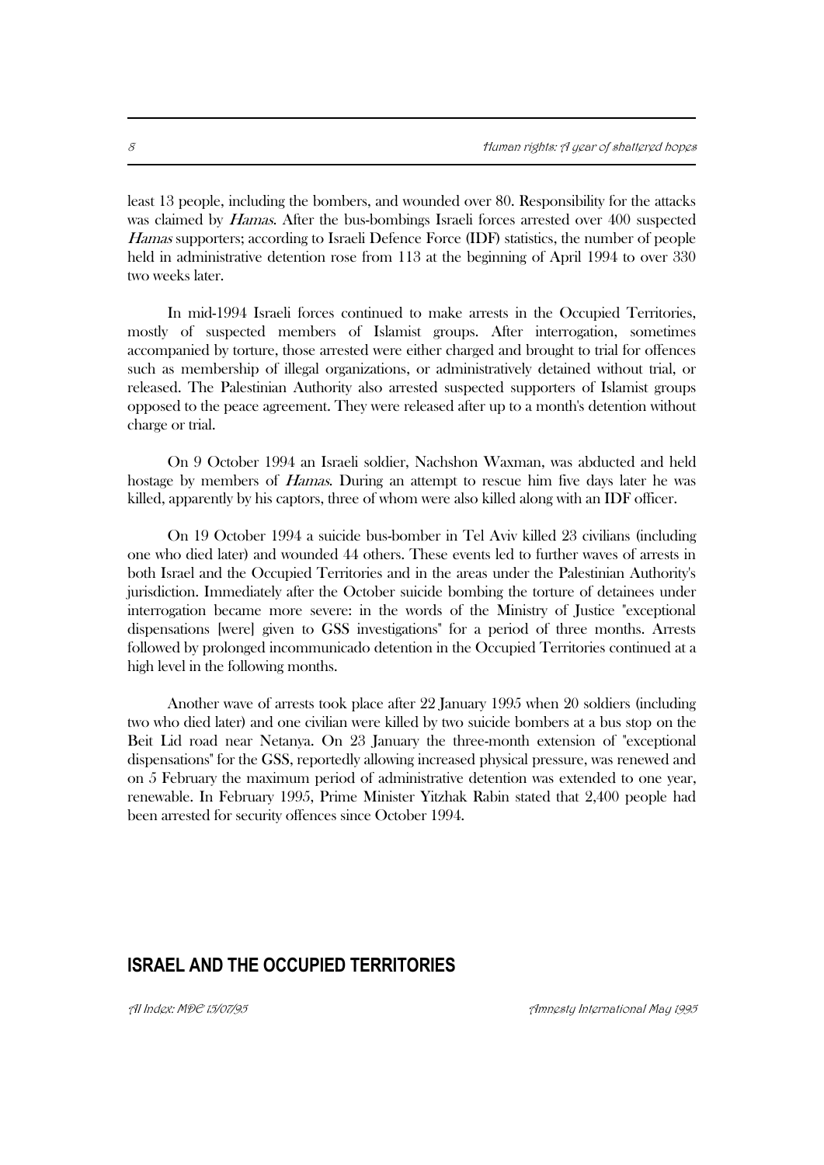least 13 people, including the bombers, and wounded over 80. Responsibility for the attacks was claimed by *Hamas*. After the bus-bombings Israeli forces arrested over 400 suspected Hamas supporters; according to Israeli Defence Force (IDF) statistics, the number of people held in administrative detention rose from 113 at the beginning of April 1994 to over 330 two weeks later.

In mid-1994 Israeli forces continued to make arrests in the Occupied Territories, mostly of suspected members of Islamist groups. After interrogation, sometimes accompanied by torture, those arrested were either charged and brought to trial for offences such as membership of illegal organizations, or administratively detained without trial, or released. The Palestinian Authority also arrested suspected supporters of Islamist groups opposed to the peace agreement. They were released after up to a month's detention without charge or trial.

On 9 October 1994 an Israeli soldier, Nachshon Waxman, was abducted and held hostage by members of *Hamas*. During an attempt to rescue him five days later he was killed, apparently by his captors, three of whom were also killed along with an IDF officer.

On 19 October 1994 a suicide bus-bomber in Tel Aviv killed 23 civilians (including one who died later) and wounded 44 others. These events led to further waves of arrests in both Israel and the Occupied Territories and in the areas under the Palestinian Authority's jurisdiction. Immediately after the October suicide bombing the torture of detainees under interrogation became more severe: in the words of the Ministry of Justice "exceptional dispensations [were] given to GSS investigations" for a period of three months. Arrests followed by prolonged incommunicado detention in the Occupied Territories continued at a high level in the following months.

Another wave of arrests took place after 22 January 1995 when 20 soldiers (including two who died later) and one civilian were killed by two suicide bombers at a bus stop on the Beit Lid road near Netanya. On 23 January the three-month extension of "exceptional dispensations" for the GSS, reportedly allowing increased physical pressure, was renewed and on 5 February the maximum period of administrative detention was extended to one year, renewable. In February 1995, Prime Minister Yitzhak Rabin stated that 2,400 people had been arrested for security offences since October 1994.

## **ISRAEL AND THE OCCUPIED TERRITORIES**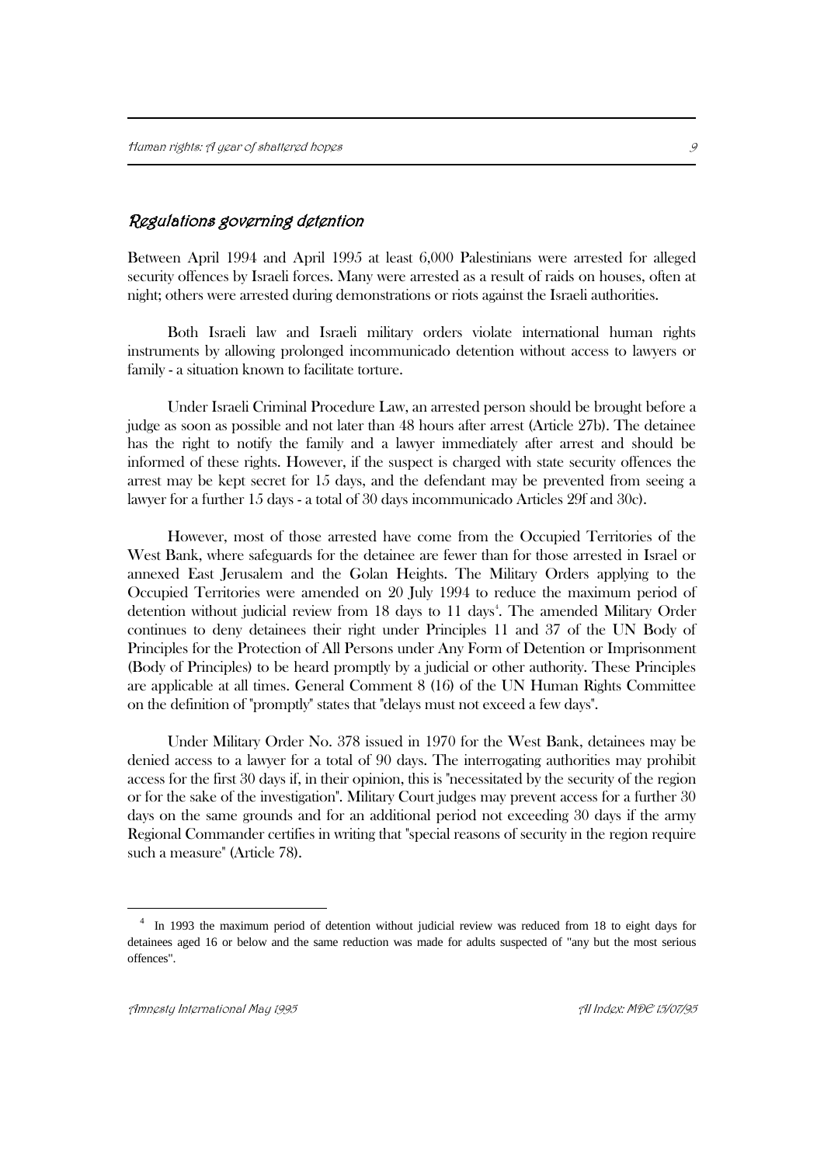#### Regulations governing detention

Between April 1994 and April 1995 at least 6,000 Palestinians were arrested for alleged security offences by Israeli forces. Many were arrested as a result of raids on houses, often at night; others were arrested during demonstrations or riots against the Israeli authorities.

Both Israeli law and Israeli military orders violate international human rights instruments by allowing prolonged incommunicado detention without access to lawyers or family - a situation known to facilitate torture.

Under Israeli Criminal Procedure Law, an arrested person should be brought before a judge as soon as possible and not later than 48 hours after arrest (Article 27b). The detainee has the right to notify the family and a lawyer immediately after arrest and should be informed of these rights. However, if the suspect is charged with state security offences the arrest may be kept secret for 15 days, and the defendant may be prevented from seeing a lawyer for a further 15 days - a total of 30 days incommunicado Articles 29f and 30c).

However, most of those arrested have come from the Occupied Territories of the West Bank, where safeguards for the detainee are fewer than for those arrested in Israel or annexed East Jerusalem and the Golan Heights. The Military Orders applying to the Occupied Territories were amended on 20 July 1994 to reduce the maximum period of detention without judicial review from 18 days to 11 days<sup>4</sup>. The amended Military Order continues to deny detainees their right under Principles 11 and 37 of the UN Body of Principles for the Protection of All Persons under Any Form of Detention or Imprisonment (Body of Principles) to be heard promptly by a judicial or other authority. These Principles are applicable at all times. General Comment 8 (16) of the UN Human Rights Committee on the definition of "promptly" states that "delays must not exceed a few days".

Under Military Order No. 378 issued in 1970 for the West Bank, detainees may be denied access to a lawyer for a total of 90 days. The interrogating authorities may prohibit access for the first 30 days if, in their opinion, this is "necessitated by the security of the region or for the sake of the investigation". Military Court judges may prevent access for a further 30 days on the same grounds and for an additional period not exceeding 30 days if the army Regional Commander certifies in writing that "special reasons of security in the region require such a measure" (Article 78).

<sup>&</sup>lt;sup>4</sup> In 1993 the maximum period of detention without judicial review was reduced from 18 to eight days for detainees aged 16 or below and the same reduction was made for adults suspected of "any but the most serious offences".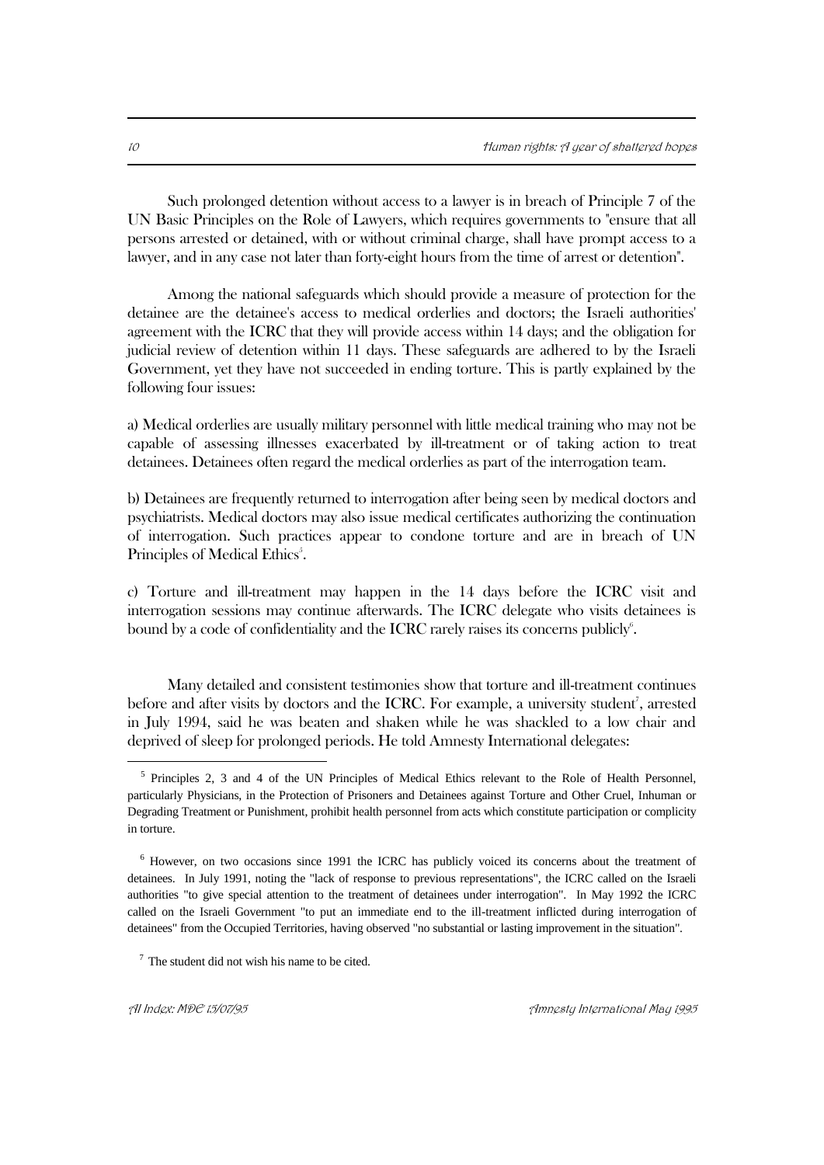Such prolonged detention without access to a lawyer is in breach of Principle 7 of the UN Basic Principles on the Role of Lawyers, which requires governments to "ensure that all persons arrested or detained, with or without criminal charge, shall have prompt access to a lawyer, and in any case not later than forty-eight hours from the time of arrest or detention".

Among the national safeguards which should provide a measure of protection for the detainee are the detainee's access to medical orderlies and doctors; the Israeli authorities' agreement with the ICRC that they will provide access within 14 days; and the obligation for judicial review of detention within 11 days. These safeguards are adhered to by the Israeli Government, yet they have not succeeded in ending torture. This is partly explained by the following four issues:

a) Medical orderlies are usually military personnel with little medical training who may not be capable of assessing illnesses exacerbated by ill-treatment or of taking action to treat detainees. Detainees often regard the medical orderlies as part of the interrogation team.

b) Detainees are frequently returned to interrogation after being seen by medical doctors and psychiatrists. Medical doctors may also issue medical certificates authorizing the continuation of interrogation. Such practices appear to condone torture and are in breach of UN Principles of Medical Ethics<sup>5</sup>.

c) Torture and ill-treatment may happen in the 14 days before the ICRC visit and interrogation sessions may continue afterwards. The ICRC delegate who visits detainees is bound by a code of confidentiality and the ICRC rarely raises its concerns publicly.

Many detailed and consistent testimonies show that torture and ill-treatment continues before and after visits by doctors and the ICRC. For example, a university student<sup>7</sup>, arrested in July 1994, said he was beaten and shaken while he was shackled to a low chair and deprived of sleep for prolonged periods. He told Amnesty International delegates:

<sup>&</sup>lt;sup>5</sup> Principles 2, 3 and 4 of the UN Principles of Medical Ethics relevant to the Role of Health Personnel, particularly Physicians, in the Protection of Prisoners and Detainees against Torture and Other Cruel, Inhuman or Degrading Treatment or Punishment, prohibit health personnel from acts which constitute participation or complicity in torture.

<sup>6</sup> However, on two occasions since 1991 the ICRC has publicly voiced its concerns about the treatment of detainees. In July 1991, noting the "lack of response to previous representations", the ICRC called on the Israeli authorities "to give special attention to the treatment of detainees under interrogation". In May 1992 the ICRC called on the Israeli Government "to put an immediate end to the ill-treatment inflicted during interrogation of detainees" from the Occupied Territories, having observed "no substantial or lasting improvement in the situation".

 $7$  The student did not wish his name to be cited.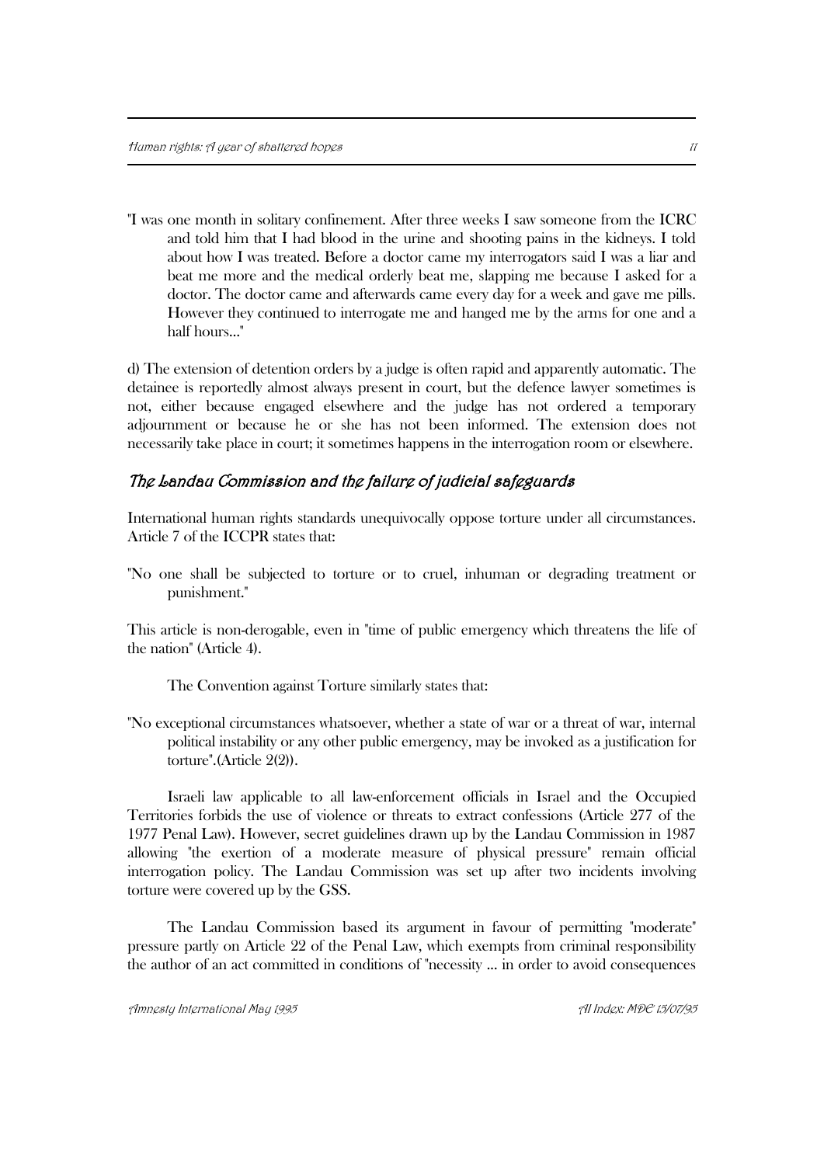"I was one month in solitary confinement. After three weeks I saw someone from the ICRC and told him that I had blood in the urine and shooting pains in the kidneys. I told about how I was treated. Before a doctor came my interrogators said I was a liar and beat me more and the medical orderly beat me, slapping me because I asked for a doctor. The doctor came and afterwards came every day for a week and gave me pills. However they continued to interrogate me and hanged me by the arms for one and a half hours..."

d) The extension of detention orders by a judge is often rapid and apparently automatic. The detainee is reportedly almost always present in court, but the defence lawyer sometimes is not, either because engaged elsewhere and the judge has not ordered a temporary adjournment or because he or she has not been informed. The extension does not necessarily take place in court; it sometimes happens in the interrogation room or elsewhere.

### The Landau Commission and the failure of judicial safeguards

International human rights standards unequivocally oppose torture under all circumstances. Article 7 of the ICCPR states that:

"No one shall be subjected to torture or to cruel, inhuman or degrading treatment or punishment."

This article is non-derogable, even in "time of public emergency which threatens the life of the nation" (Article 4).

The Convention against Torture similarly states that:

"No exceptional circumstances whatsoever, whether a state of war or a threat of war, internal political instability or any other public emergency, may be invoked as a justification for torture".(Article 2(2)).

Israeli law applicable to all law-enforcement officials in Israel and the Occupied Territories forbids the use of violence or threats to extract confessions (Article 277 of the 1977 Penal Law). However, secret guidelines drawn up by the Landau Commission in 1987 allowing "the exertion of a moderate measure of physical pressure" remain official interrogation policy. The Landau Commission was set up after two incidents involving torture were covered up by the GSS.

The Landau Commission based its argument in favour of permitting "moderate" pressure partly on Article 22 of the Penal Law, which exempts from criminal responsibility the author of an act committed in conditions of "necessity ... in order to avoid consequences

Amnesty International May 1995 AI Index: MDE 15/07/95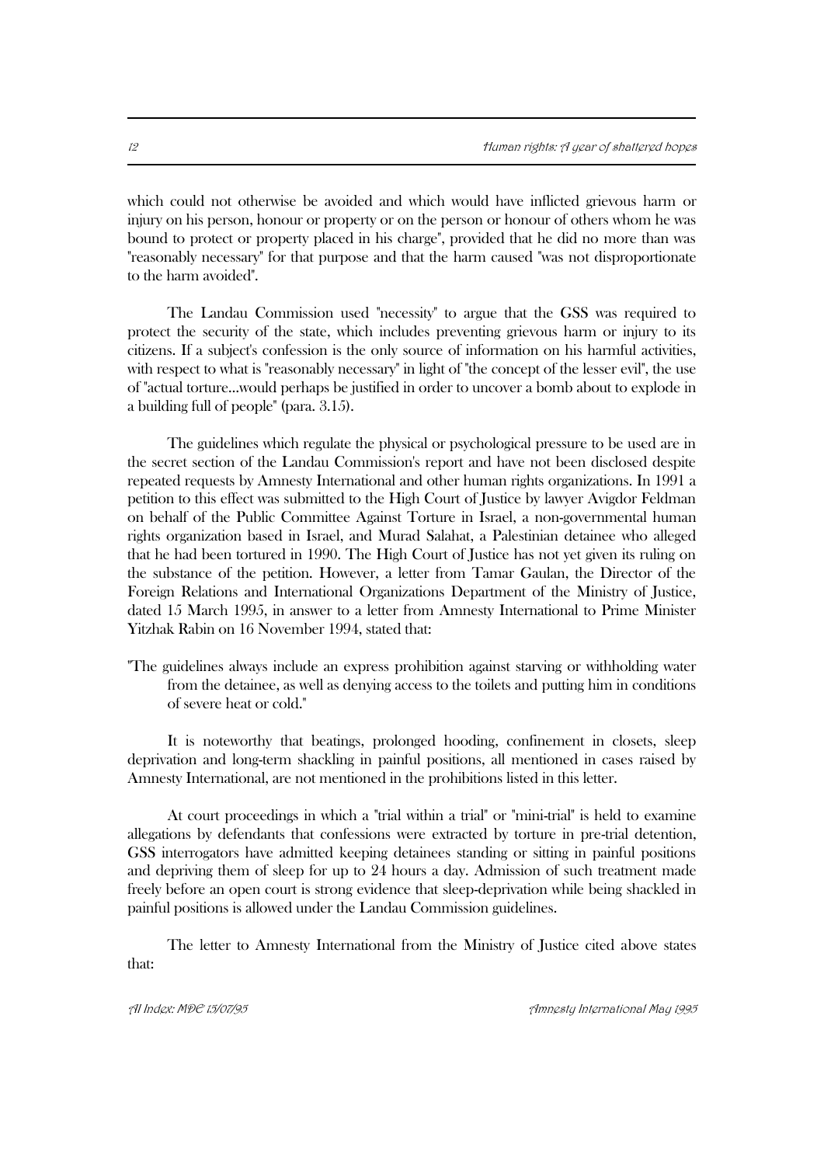which could not otherwise be avoided and which would have inflicted grievous harm or injury on his person, honour or property or on the person or honour of others whom he was bound to protect or property placed in his charge", provided that he did no more than was "reasonably necessary" for that purpose and that the harm caused "was not disproportionate to the harm avoided".

The Landau Commission used "necessity" to argue that the GSS was required to protect the security of the state, which includes preventing grievous harm or injury to its citizens. If a subject's confession is the only source of information on his harmful activities, with respect to what is "reasonably necessary" in light of "the concept of the lesser evil", the use of "actual torture...would perhaps be justified in order to uncover a bomb about to explode in a building full of people" (para. 3.15).

The guidelines which regulate the physical or psychological pressure to be used are in the secret section of the Landau Commission's report and have not been disclosed despite repeated requests by Amnesty International and other human rights organizations. In 1991 a petition to this effect was submitted to the High Court of Justice by lawyer Avigdor Feldman on behalf of the Public Committee Against Torture in Israel, a non-governmental human rights organization based in Israel, and Murad Salahat, a Palestinian detainee who alleged that he had been tortured in 1990. The High Court of Justice has not yet given its ruling on the substance of the petition. However, a letter from Tamar Gaulan, the Director of the Foreign Relations and International Organizations Department of the Ministry of Justice, dated 15 March 1995, in answer to a letter from Amnesty International to Prime Minister Yitzhak Rabin on 16 November 1994, stated that:

"The guidelines always include an express prohibition against starving or withholding water from the detainee, as well as denying access to the toilets and putting him in conditions of severe heat or cold."

It is noteworthy that beatings, prolonged hooding, confinement in closets, sleep deprivation and long-term shackling in painful positions, all mentioned in cases raised by Amnesty International, are not mentioned in the prohibitions listed in this letter.

At court proceedings in which a "trial within a trial" or "mini-trial" is held to examine allegations by defendants that confessions were extracted by torture in pre-trial detention, GSS interrogators have admitted keeping detainees standing or sitting in painful positions and depriving them of sleep for up to 24 hours a day. Admission of such treatment made freely before an open court is strong evidence that sleep-deprivation while being shackled in painful positions is allowed under the Landau Commission guidelines.

The letter to Amnesty International from the Ministry of Justice cited above states that: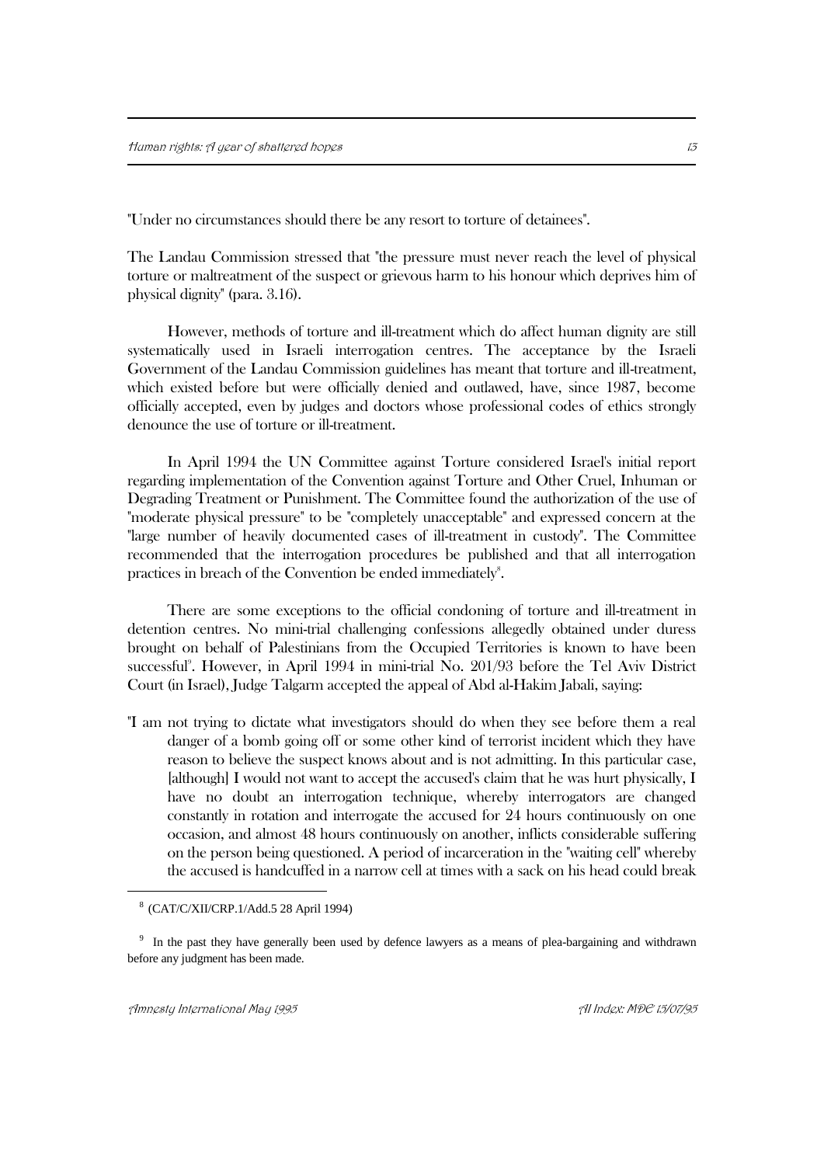"Under no circumstances should there be any resort to torture of detainees".

The Landau Commission stressed that "the pressure must never reach the level of physical torture or maltreatment of the suspect or grievous harm to his honour which deprives him of physical dignity" (para. 3.16).

However, methods of torture and ill-treatment which do affect human dignity are still systematically used in Israeli interrogation centres. The acceptance by the Israeli Government of the Landau Commission guidelines has meant that torture and ill-treatment, which existed before but were officially denied and outlawed, have, since 1987, become officially accepted, even by judges and doctors whose professional codes of ethics strongly denounce the use of torture or ill-treatment.

In April 1994 the UN Committee against Torture considered Israel's initial report regarding implementation of the Convention against Torture and Other Cruel, Inhuman or Degrading Treatment or Punishment. The Committee found the authorization of the use of "moderate physical pressure" to be "completely unacceptable" and expressed concern at the "large number of heavily documented cases of ill-treatment in custody". The Committee recommended that the interrogation procedures be published and that all interrogation practices in breach of the Convention be ended immediately<sup>8</sup>.

There are some exceptions to the official condoning of torture and ill-treatment in detention centres. No mini-trial challenging confessions allegedly obtained under duress brought on behalf of Palestinians from the Occupied Territories is known to have been successful<sup>9</sup>. However, in April 1994 in mini-trial No. 201/93 before the Tel Aviv District Court (in Israel), Judge Talgarm accepted the appeal of Abd al-Hakim Jabali, saying:

"I am not trying to dictate what investigators should do when they see before them a real danger of a bomb going off or some other kind of terrorist incident which they have reason to believe the suspect knows about and is not admitting. In this particular case, [although] I would not want to accept the accused's claim that he was hurt physically, I have no doubt an interrogation technique, whereby interrogators are changed constantly in rotation and interrogate the accused for 24 hours continuously on one occasion, and almost 48 hours continuously on another, inflicts considerable suffering on the person being questioned. A period of incarceration in the "waiting cell" whereby the accused is handcuffed in a narrow cell at times with a sack on his head could break

<sup>8</sup> (CAT/C/XII/CRP.1/Add.5 28 April 1994)

<sup>&</sup>lt;sup>9</sup> In the past they have generally been used by defence lawyers as a means of plea-bargaining and withdrawn before any judgment has been made.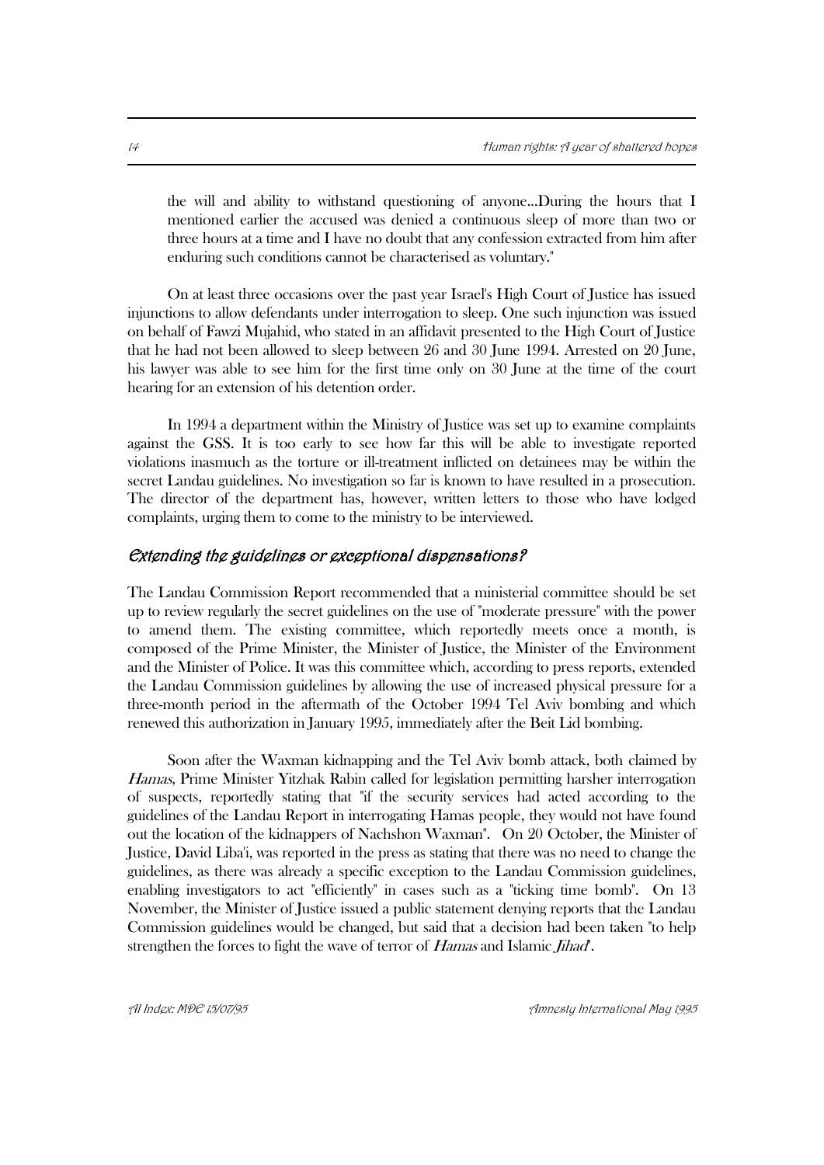the will and ability to withstand questioning of anyone...During the hours that I mentioned earlier the accused was denied a continuous sleep of more than two or three hours at a time and I have no doubt that any confession extracted from him after enduring such conditions cannot be characterised as voluntary."

On at least three occasions over the past year Israel's High Court of Justice has issued injunctions to allow defendants under interrogation to sleep. One such injunction was issued on behalf of Fawzi Mujahid, who stated in an affidavit presented to the High Court of Justice that he had not been allowed to sleep between 26 and 30 June 1994. Arrested on 20 June, his lawyer was able to see him for the first time only on 30 June at the time of the court hearing for an extension of his detention order.

In 1994 a department within the Ministry of Justice was set up to examine complaints against the GSS. It is too early to see how far this will be able to investigate reported violations inasmuch as the torture or ill-treatment inflicted on detainees may be within the secret Landau guidelines. No investigation so far is known to have resulted in a prosecution. The director of the department has, however, written letters to those who have lodged complaints, urging them to come to the ministry to be interviewed.

#### Extending the guidelines or exceptional dispensations?

The Landau Commission Report recommended that a ministerial committee should be set up to review regularly the secret guidelines on the use of "moderate pressure" with the power to amend them. The existing committee, which reportedly meets once a month, is composed of the Prime Minister, the Minister of Justice, the Minister of the Environment and the Minister of Police. It was this committee which, according to press reports, extended the Landau Commission guidelines by allowing the use of increased physical pressure for a three-month period in the aftermath of the October 1994 Tel Aviv bombing and which renewed this authorization in January 1995, immediately after the Beit Lid bombing.

Soon after the Waxman kidnapping and the Tel Aviv bomb attack, both claimed by Hamas, Prime Minister Yitzhak Rabin called for legislation permitting harsher interrogation of suspects, reportedly stating that "if the security services had acted according to the guidelines of the Landau Report in interrogating Hamas people, they would not have found out the location of the kidnappers of Nachshon Waxman". On 20 October, the Minister of Justice, David Liba'i, was reported in the press as stating that there was no need to change the guidelines, as there was already a specific exception to the Landau Commission guidelines, enabling investigators to act "efficiently" in cases such as a "ticking time bomb". On 13 November, the Minister of Justice issued a public statement denying reports that the Landau Commission guidelines would be changed, but said that a decision had been taken "to help strengthen the forces to fight the wave of terror of *Hamas* and Islamic *Jihad*.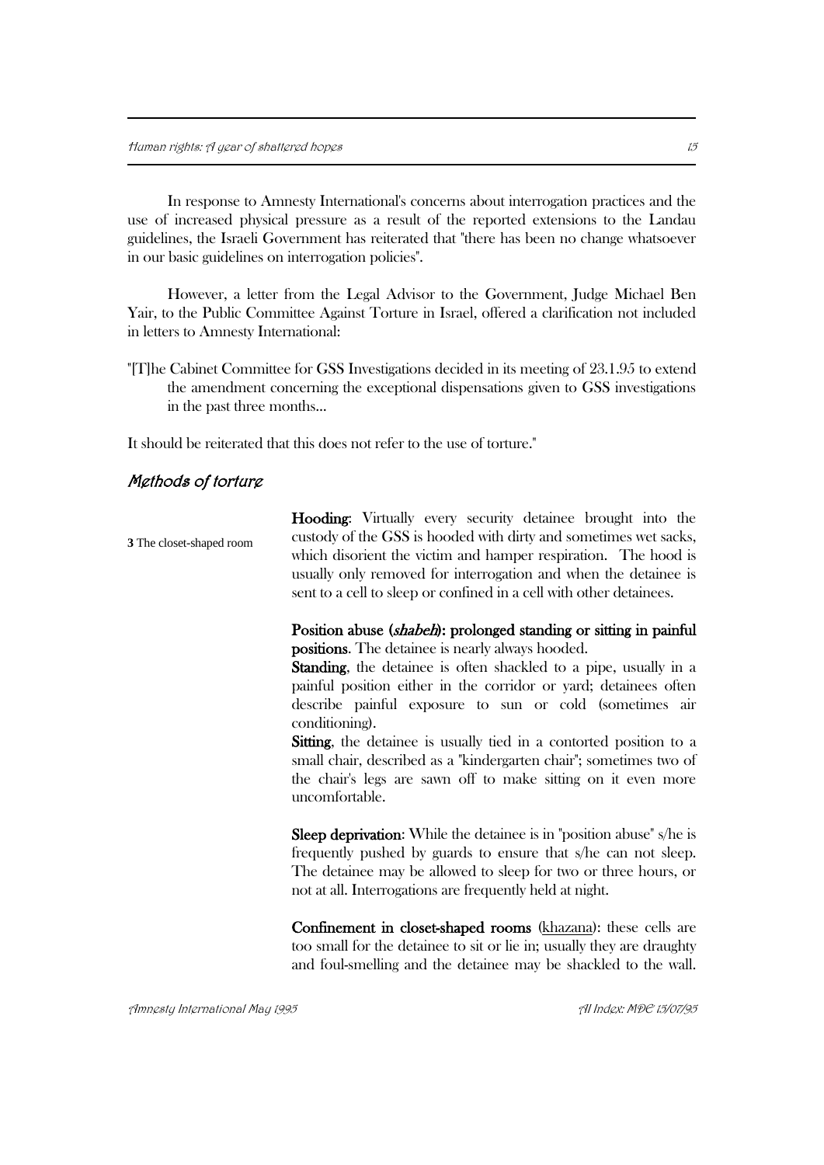In response to Amnesty International's concerns about interrogation practices and the use of increased physical pressure as a result of the reported extensions to the Landau guidelines, the Israeli Government has reiterated that "there has been no change whatsoever in our basic guidelines on interrogation policies".

However, a letter from the Legal Advisor to the Government, Judge Michael Ben Yair, to the Public Committee Against Torture in Israel, offered a clarification not included in letters to Amnesty International:

"[T]he Cabinet Committee for GSS Investigations decided in its meeting of 23.1.95 to extend the amendment concerning the exceptional dispensations given to GSS investigations in the past three months...

It should be reiterated that this does not refer to the use of torture."

#### Methods of torture

Hooding: Virtually every security detainee brought into the custody of the GSS is hooded with dirty and sometimes wet sacks, which disorient the victim and hamper respiration. The hood is usually only removed for interrogation and when the detainee is sent to a cell to sleep or confined in a cell with other detainees. **3** The closet-shaped room

#### Position abuse (shabeh): prolonged standing or sitting in painful positions. The detainee is nearly always hooded.

Standing, the detainee is often shackled to a pipe, usually in a painful position either in the corridor or yard; detainees often describe painful exposure to sun or cold (sometimes air conditioning).

Sitting, the detainee is usually tied in a contorted position to a small chair, described as a "kindergarten chair"; sometimes two of the chair's legs are sawn off to make sitting on it even more uncomfortable.

Sleep deprivation: While the detainee is in "position abuse" s/he is frequently pushed by guards to ensure that s/he can not sleep. The detainee may be allowed to sleep for two or three hours, or not at all. Interrogations are frequently held at night.

Confinement in closet-shaped rooms (khazana): these cells are too small for the detainee to sit or lie in; usually they are draughty and foul-smelling and the detainee may be shackled to the wall.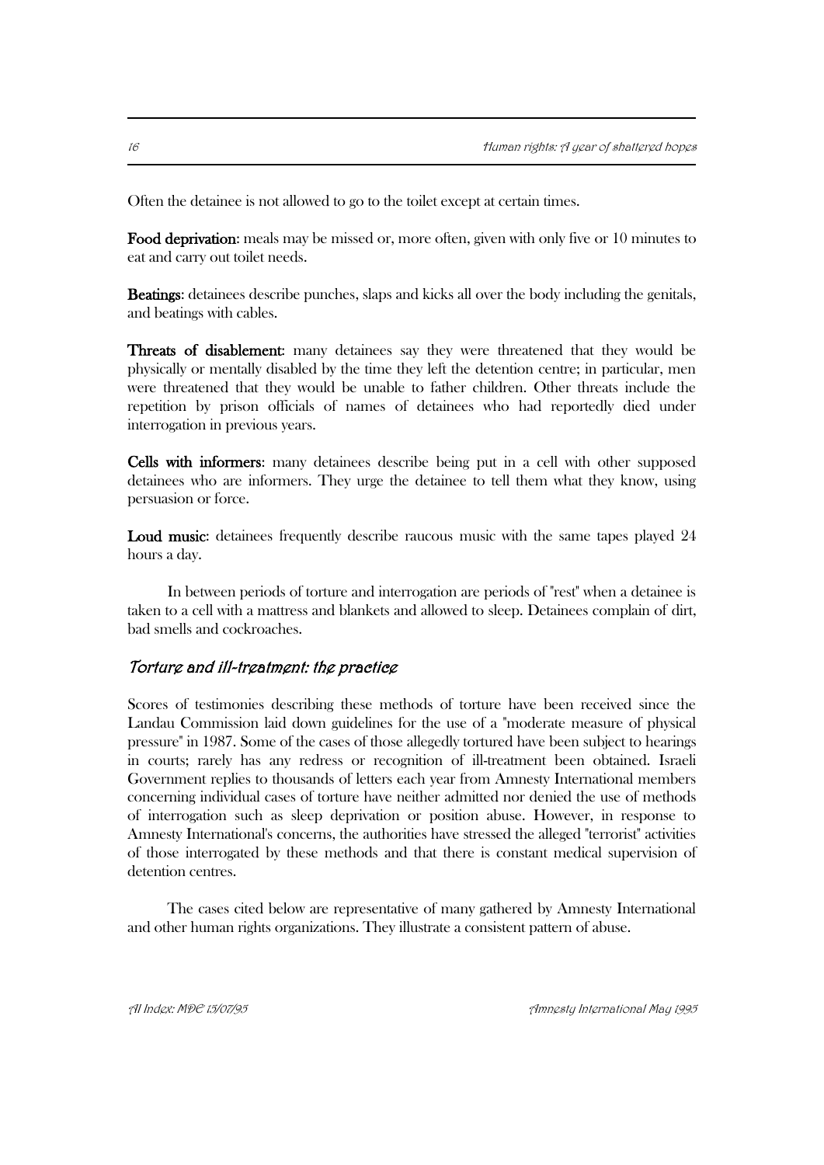Often the detainee is not allowed to go to the toilet except at certain times.

Food deprivation: meals may be missed or, more often, given with only five or 10 minutes to eat and carry out toilet needs.

Beatings: detainees describe punches, slaps and kicks all over the body including the genitals, and beatings with cables.

Threats of disablement: many detainees say they were threatened that they would be physically or mentally disabled by the time they left the detention centre; in particular, men were threatened that they would be unable to father children. Other threats include the repetition by prison officials of names of detainees who had reportedly died under interrogation in previous years.

Cells with informers: many detainees describe being put in a cell with other supposed detainees who are informers. They urge the detainee to tell them what they know, using persuasion or force.

Loud music: detainees frequently describe raucous music with the same tapes played 24 hours a day.

In between periods of torture and interrogation are periods of "rest" when a detainee is taken to a cell with a mattress and blankets and allowed to sleep. Detainees complain of dirt, bad smells and cockroaches.

#### Torture and ill-treatment: the practice

Scores of testimonies describing these methods of torture have been received since the Landau Commission laid down guidelines for the use of a "moderate measure of physical pressure" in 1987. Some of the cases of those allegedly tortured have been subject to hearings in courts; rarely has any redress or recognition of ill-treatment been obtained. Israeli Government replies to thousands of letters each year from Amnesty International members concerning individual cases of torture have neither admitted nor denied the use of methods of interrogation such as sleep deprivation or position abuse. However, in response to Amnesty International's concerns, the authorities have stressed the alleged "terrorist" activities of those interrogated by these methods and that there is constant medical supervision of detention centres.

The cases cited below are representative of many gathered by Amnesty International and other human rights organizations. They illustrate a consistent pattern of abuse.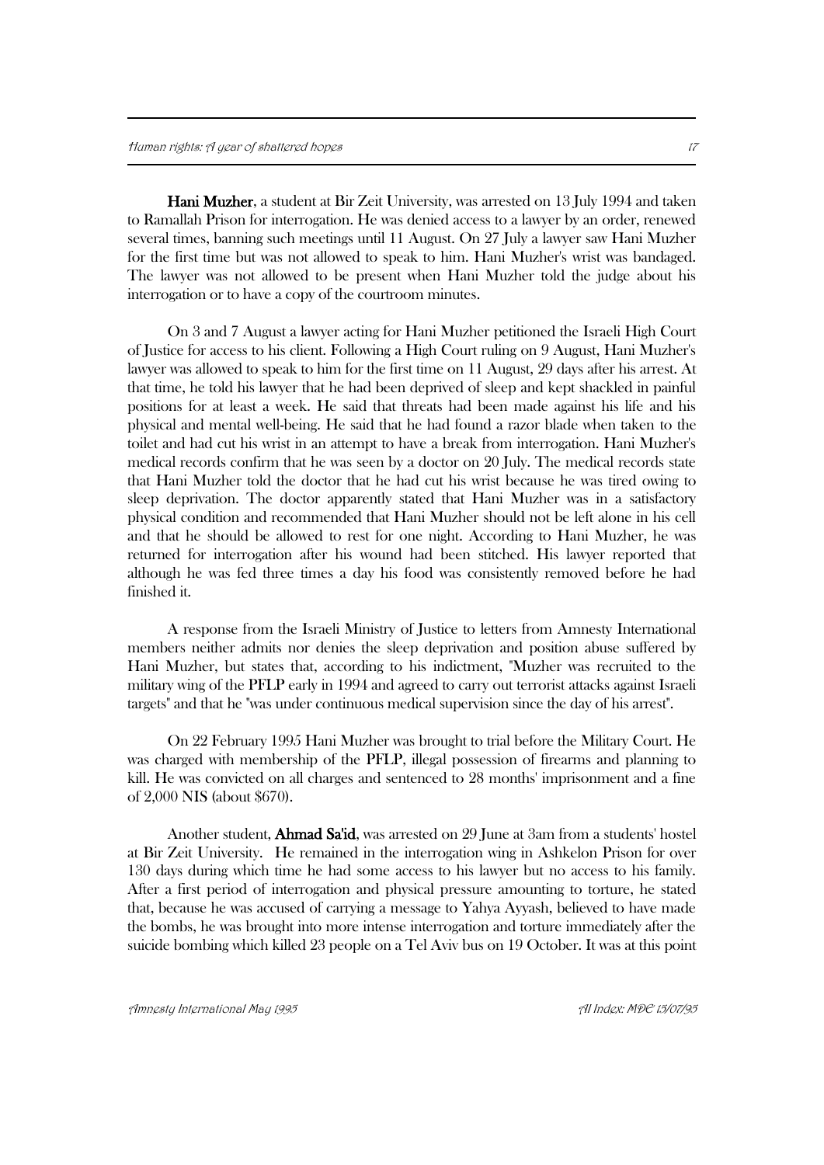Hani Muzher, a student at Bir Zeit University, was arrested on 13 July 1994 and taken to Ramallah Prison for interrogation. He was denied access to a lawyer by an order, renewed several times, banning such meetings until 11 August. On 27 July a lawyer saw Hani Muzher for the first time but was not allowed to speak to him. Hani Muzher's wrist was bandaged. The lawyer was not allowed to be present when Hani Muzher told the judge about his interrogation or to have a copy of the courtroom minutes.

On 3 and 7 August a lawyer acting for Hani Muzher petitioned the Israeli High Court of Justice for access to his client. Following a High Court ruling on 9 August, Hani Muzher's lawyer was allowed to speak to him for the first time on 11 August, 29 days after his arrest. At that time, he told his lawyer that he had been deprived of sleep and kept shackled in painful positions for at least a week. He said that threats had been made against his life and his physical and mental well-being. He said that he had found a razor blade when taken to the toilet and had cut his wrist in an attempt to have a break from interrogation. Hani Muzher's medical records confirm that he was seen by a doctor on 20 July. The medical records state that Hani Muzher told the doctor that he had cut his wrist because he was tired owing to sleep deprivation. The doctor apparently stated that Hani Muzher was in a satisfactory physical condition and recommended that Hani Muzher should not be left alone in his cell and that he should be allowed to rest for one night. According to Hani Muzher, he was returned for interrogation after his wound had been stitched. His lawyer reported that although he was fed three times a day his food was consistently removed before he had finished it.

A response from the Israeli Ministry of Justice to letters from Amnesty International members neither admits nor denies the sleep deprivation and position abuse suffered by Hani Muzher, but states that, according to his indictment, "Muzher was recruited to the military wing of the PFLP early in 1994 and agreed to carry out terrorist attacks against Israeli targets" and that he "was under continuous medical supervision since the day of his arrest".

On 22 February 1995 Hani Muzher was brought to trial before the Military Court. He was charged with membership of the PFLP, illegal possession of firearms and planning to kill. He was convicted on all charges and sentenced to 28 months' imprisonment and a fine of 2,000 NIS (about \$670).

Another student, **Ahmad Sa'id**, was arrested on 29 June at 3am from a students' hostel at Bir Zeit University. He remained in the interrogation wing in Ashkelon Prison for over 130 days during which time he had some access to his lawyer but no access to his family. After a first period of interrogation and physical pressure amounting to torture, he stated that, because he was accused of carrying a message to Yahya Ayyash, believed to have made the bombs, he was brought into more intense interrogation and torture immediately after the suicide bombing which killed 23 people on a Tel Aviv bus on 19 October. It was at this point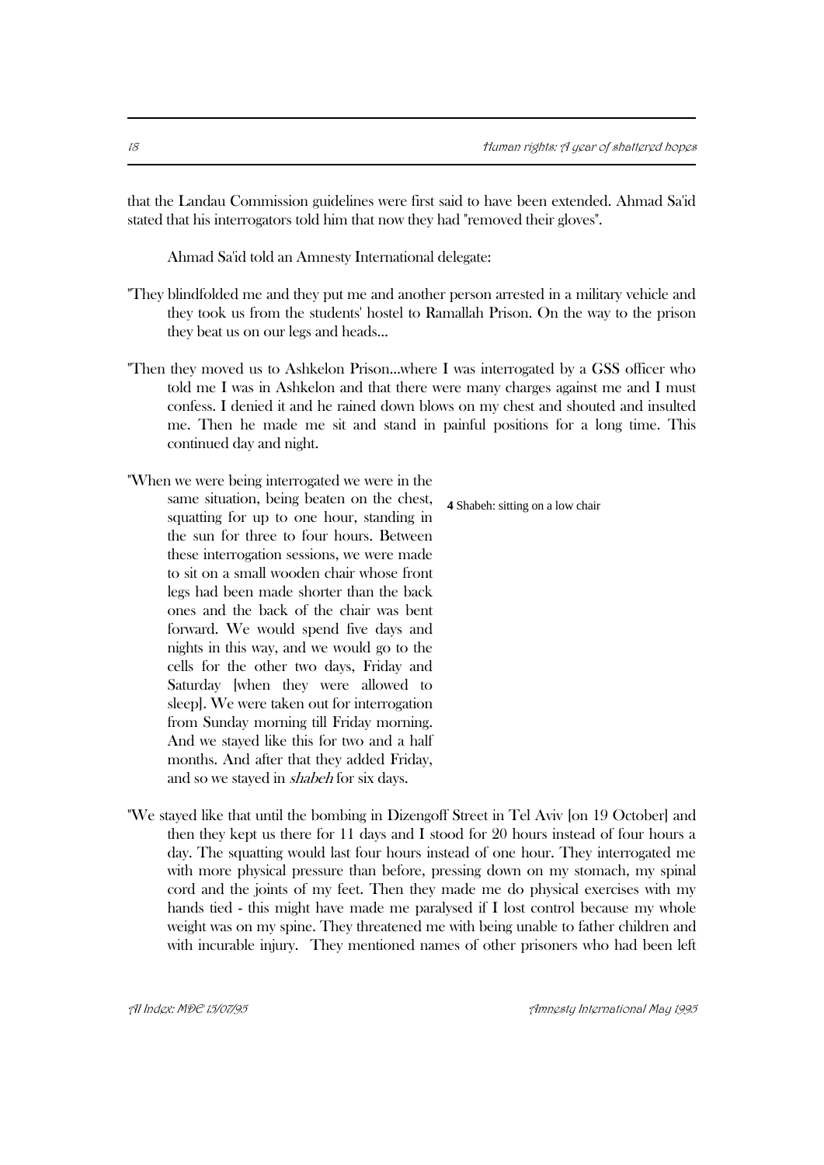that the Landau Commission guidelines were first said to have been extended. Ahmad Sa'id stated that his interrogators told him that now they had "removed their gloves".

Ahmad Sa'id told an Amnesty International delegate:

- "They blindfolded me and they put me and another person arrested in a military vehicle and they took us from the students' hostel to Ramallah Prison. On the way to the prison they beat us on our legs and heads...
- "Then they moved us to Ashkelon Prison...where I was interrogated by a GSS officer who told me I was in Ashkelon and that there were many charges against me and I must confess. I denied it and he rained down blows on my chest and shouted and insulted me. Then he made me sit and stand in painful positions for a long time. This continued day and night.
- "When we were being interrogated we were in the same situation, being beaten on the chest, squatting for up to one hour, standing in the sun for three to four hours. Between these interrogation sessions, we were made to sit on a small wooden chair whose front legs had been made shorter than the back ones and the back of the chair was bent forward. We would spend five days and nights in this way, and we would go to the cells for the other two days, Friday and Saturday [when they were allowed to sleep]. We were taken out for interrogation from Sunday morning till Friday morning. And we stayed like this for two and a half months. And after that they added Friday, and so we stayed in shabeh for six days.

**4** Shabeh: sitting on a low chair

"We stayed like that until the bombing in Dizengoff Street in Tel Aviv [on 19 October] and then they kept us there for 11 days and I stood for 20 hours instead of four hours a day. The squatting would last four hours instead of one hour. They interrogated me with more physical pressure than before, pressing down on my stomach, my spinal cord and the joints of my feet. Then they made me do physical exercises with my hands tied - this might have made me paralysed if I lost control because my whole weight was on my spine. They threatened me with being unable to father children and with incurable injury. They mentioned names of other prisoners who had been left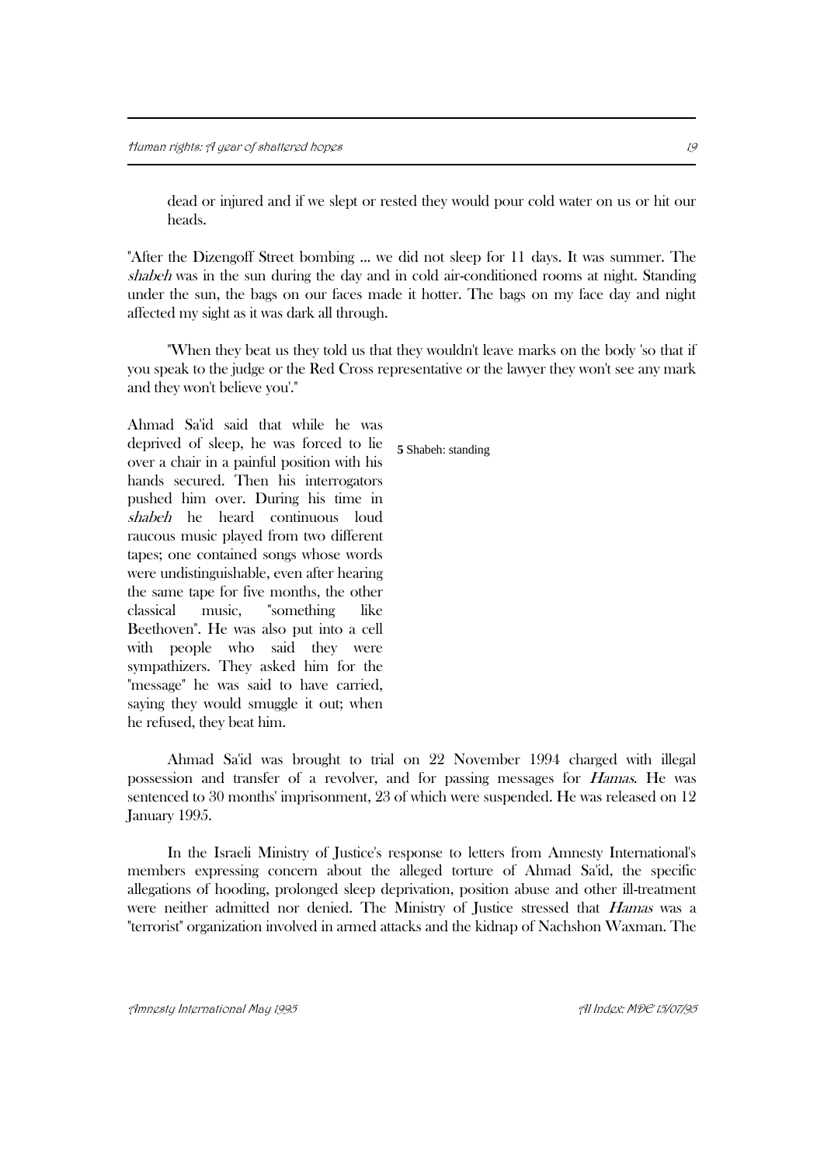dead or injured and if we slept or rested they would pour cold water on us or hit our heads.

"After the Dizengoff Street bombing ... we did not sleep for 11 days. It was summer. The shabeh was in the sun during the day and in cold air-conditioned rooms at night. Standing under the sun, the bags on our faces made it hotter. The bags on my face day and night affected my sight as it was dark all through.

"When they beat us they told us that they wouldn't leave marks on the body 'so that if you speak to the judge or the Red Cross representative or the lawyer they won't see any mark and they won't believe you'."

Ahmad Sa'id said that while he was deprived of sleep, he was forced to lie over a chair in a painful position with his hands secured. Then his interrogators pushed him over. During his time in shabeh he heard continuous loud raucous music played from two different tapes; one contained songs whose words were undistinguishable, even after hearing the same tape for five months, the other classical music, "something like Beethoven". He was also put into a cell with people who said they were sympathizers. They asked him for the "message" he was said to have carried, saying they would smuggle it out; when he refused, they beat him.

Ahmad Sa'id was brought to trial on 22 November 1994 charged with illegal possession and transfer of a revolver, and for passing messages for Hamas. He was sentenced to 30 months' imprisonment, 23 of which were suspended. He was released on 12 January 1995.

In the Israeli Ministry of Justice's response to letters from Amnesty International's members expressing concern about the alleged torture of Ahmad Sa'id, the specific allegations of hooding, prolonged sleep deprivation, position abuse and other ill-treatment were neither admitted nor denied. The Ministry of Justice stressed that *Hamas* was a "terrorist" organization involved in armed attacks and the kidnap of Nachshon Waxman. The

**5** Shabeh: standing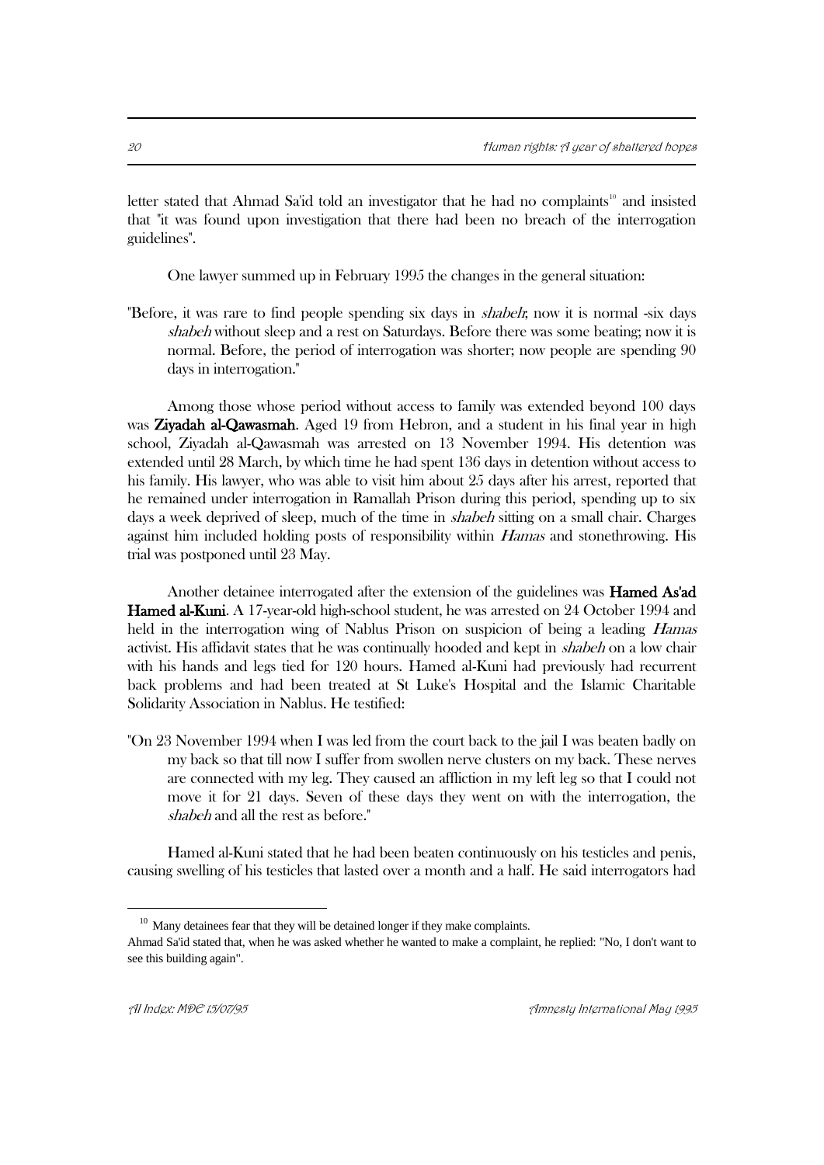letter stated that Ahmad Sa'id told an investigator that he had no complaints<sup>10</sup> and insisted that "it was found upon investigation that there had been no breach of the interrogation guidelines".

One lawyer summed up in February 1995 the changes in the general situation:

"Before, it was rare to find people spending six days in *shabeh*; now it is normal -six days shabeh without sleep and a rest on Saturdays. Before there was some beating; now it is normal. Before, the period of interrogation was shorter; now people are spending 90 days in interrogation."

Among those whose period without access to family was extended beyond 100 days was Ziyadah al-Qawasmah. Aged 19 from Hebron, and a student in his final year in high school, Ziyadah al-Qawasmah was arrested on 13 November 1994. His detention was extended until 28 March, by which time he had spent 136 days in detention without access to his family. His lawyer, who was able to visit him about 25 days after his arrest, reported that he remained under interrogation in Ramallah Prison during this period, spending up to six days a week deprived of sleep, much of the time in *shabeh* sitting on a small chair. Charges against him included holding posts of responsibility within Hamas and stonethrowing. His trial was postponed until 23 May.

Another detainee interrogated after the extension of the guidelines was Hamed As'ad Hamed al-Kuni. A 17-year-old high-school student, he was arrested on 24 October 1994 and held in the interrogation wing of Nablus Prison on suspicion of being a leading *Hamas* activist. His affidavit states that he was continually hooded and kept in shabeh on a low chair with his hands and legs tied for 120 hours. Hamed al-Kuni had previously had recurrent back problems and had been treated at St Luke's Hospital and the Islamic Charitable Solidarity Association in Nablus. He testified:

"On 23 November 1994 when I was led from the court back to the jail I was beaten badly on my back so that till now I suffer from swollen nerve clusters on my back. These nerves are connected with my leg. They caused an affliction in my left leg so that I could not move it for 21 days. Seven of these days they went on with the interrogation, the shabeh and all the rest as before."

Hamed al-Kuni stated that he had been beaten continuously on his testicles and penis, causing swelling of his testicles that lasted over a month and a half. He said interrogators had

 $10$  Many detainees fear that they will be detained longer if they make complaints.

Ahmad Sa'id stated that, when he was asked whether he wanted to make a complaint, he replied: "No, I don't want to see this building again".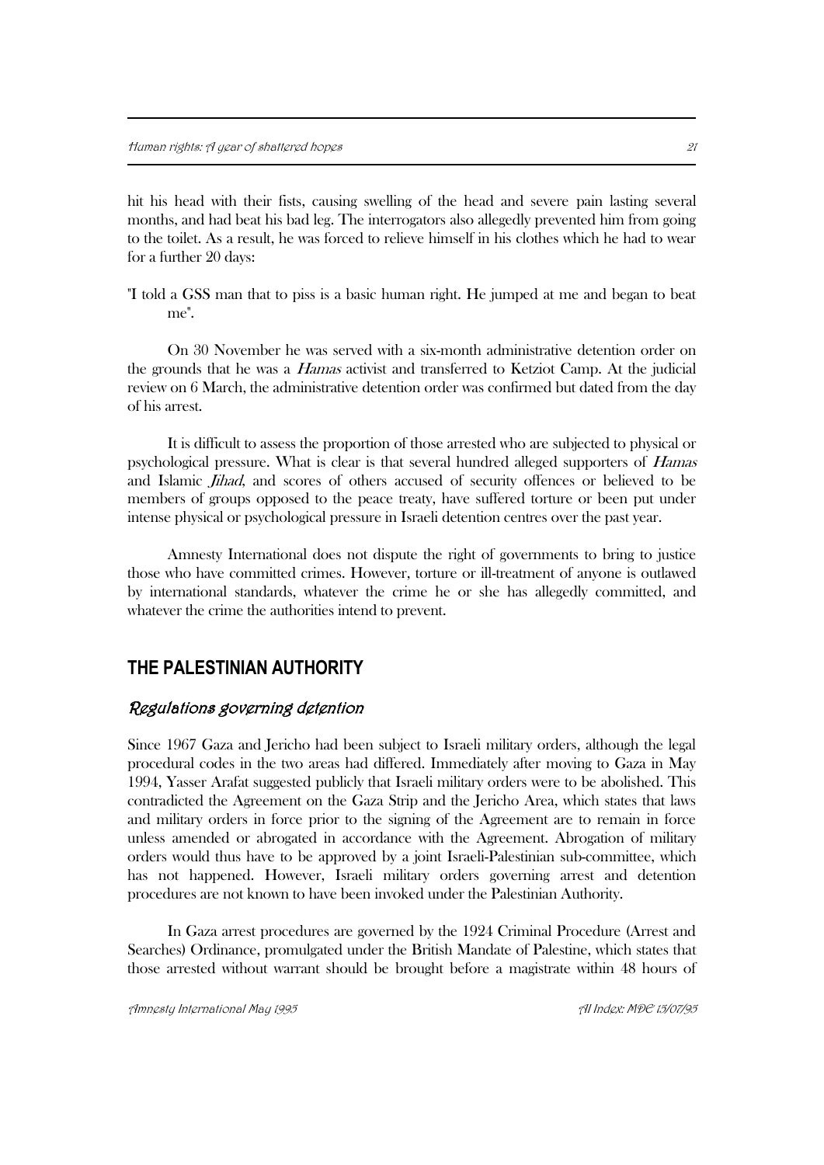hit his head with their fists, causing swelling of the head and severe pain lasting several months, and had beat his bad leg. The interrogators also allegedly prevented him from going to the toilet. As a result, he was forced to relieve himself in his clothes which he had to wear for a further 20 days:

"I told a GSS man that to piss is a basic human right. He jumped at me and began to beat me".

On 30 November he was served with a six-month administrative detention order on the grounds that he was a Hamas activist and transferred to Ketziot Camp. At the judicial review on 6 March, the administrative detention order was confirmed but dated from the day of his arrest.

It is difficult to assess the proportion of those arrested who are subjected to physical or psychological pressure. What is clear is that several hundred alleged supporters of Hamas and Islamic *Jihad*, and scores of others accused of security offences or believed to be members of groups opposed to the peace treaty, have suffered torture or been put under intense physical or psychological pressure in Israeli detention centres over the past year.

Amnesty International does not dispute the right of governments to bring to justice those who have committed crimes. However, torture or ill-treatment of anyone is outlawed by international standards, whatever the crime he or she has allegedly committed, and whatever the crime the authorities intend to prevent.

## **THE PALESTINIAN AUTHORITY**

#### Regulations governing detention

Since 1967 Gaza and Jericho had been subject to Israeli military orders, although the legal procedural codes in the two areas had differed. Immediately after moving to Gaza in May 1994, Yasser Arafat suggested publicly that Israeli military orders were to be abolished. This contradicted the Agreement on the Gaza Strip and the Jericho Area, which states that laws and military orders in force prior to the signing of the Agreement are to remain in force unless amended or abrogated in accordance with the Agreement. Abrogation of military orders would thus have to be approved by a joint Israeli-Palestinian sub-committee, which has not happened. However, Israeli military orders governing arrest and detention procedures are not known to have been invoked under the Palestinian Authority.

In Gaza arrest procedures are governed by the 1924 Criminal Procedure (Arrest and Searches) Ordinance, promulgated under the British Mandate of Palestine, which states that those arrested without warrant should be brought before a magistrate within 48 hours of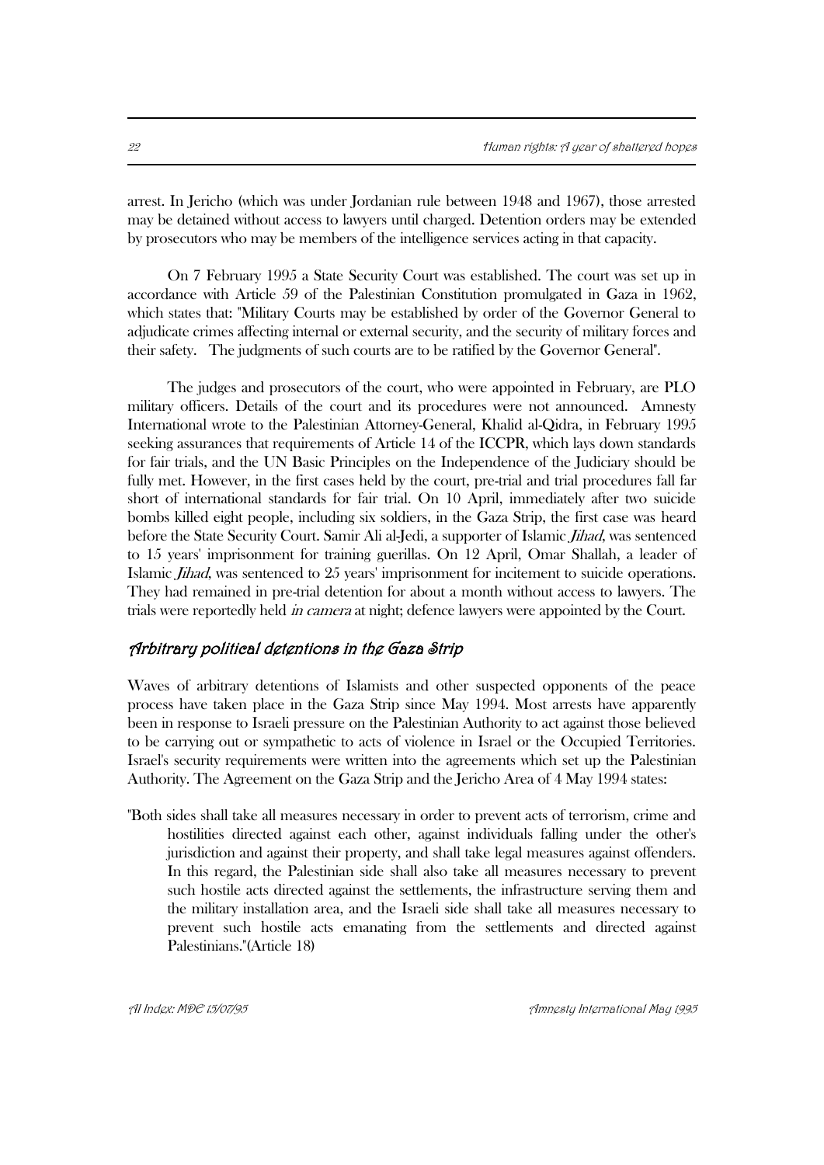arrest. In Jericho (which was under Jordanian rule between 1948 and 1967), those arrested may be detained without access to lawyers until charged. Detention orders may be extended by prosecutors who may be members of the intelligence services acting in that capacity.

On 7 February 1995 a State Security Court was established. The court was set up in accordance with Article 59 of the Palestinian Constitution promulgated in Gaza in 1962, which states that: "Military Courts may be established by order of the Governor General to adjudicate crimes affecting internal or external security, and the security of military forces and their safety. The judgments of such courts are to be ratified by the Governor General".

The judges and prosecutors of the court, who were appointed in February, are PLO military officers. Details of the court and its procedures were not announced. Amnesty International wrote to the Palestinian Attorney-General, Khalid al-Qidra, in February 1995 seeking assurances that requirements of Article 14 of the ICCPR, which lays down standards for fair trials, and the UN Basic Principles on the Independence of the Judiciary should be fully met. However, in the first cases held by the court, pre-trial and trial procedures fall far short of international standards for fair trial. On 10 April, immediately after two suicide bombs killed eight people, including six soldiers, in the Gaza Strip, the first case was heard before the State Security Court. Samir Ali al-Jedi, a supporter of Islamic Jihad, was sentenced to 15 years' imprisonment for training guerillas. On 12 April, Omar Shallah, a leader of Islamic Jihad, was sentenced to 25 years' imprisonment for incitement to suicide operations. They had remained in pre-trial detention for about a month without access to lawyers. The trials were reportedly held *in camera* at night; defence lawyers were appointed by the Court.

#### Arbitrary political detentions in the Gaza Strip

Waves of arbitrary detentions of Islamists and other suspected opponents of the peace process have taken place in the Gaza Strip since May 1994. Most arrests have apparently been in response to Israeli pressure on the Palestinian Authority to act against those believed to be carrying out or sympathetic to acts of violence in Israel or the Occupied Territories. Israel's security requirements were written into the agreements which set up the Palestinian Authority. The Agreement on the Gaza Strip and the Jericho Area of 4 May 1994 states:

"Both sides shall take all measures necessary in order to prevent acts of terrorism, crime and hostilities directed against each other, against individuals falling under the other's jurisdiction and against their property, and shall take legal measures against offenders. In this regard, the Palestinian side shall also take all measures necessary to prevent such hostile acts directed against the settlements, the infrastructure serving them and the military installation area, and the Israeli side shall take all measures necessary to prevent such hostile acts emanating from the settlements and directed against Palestinians."(Article 18)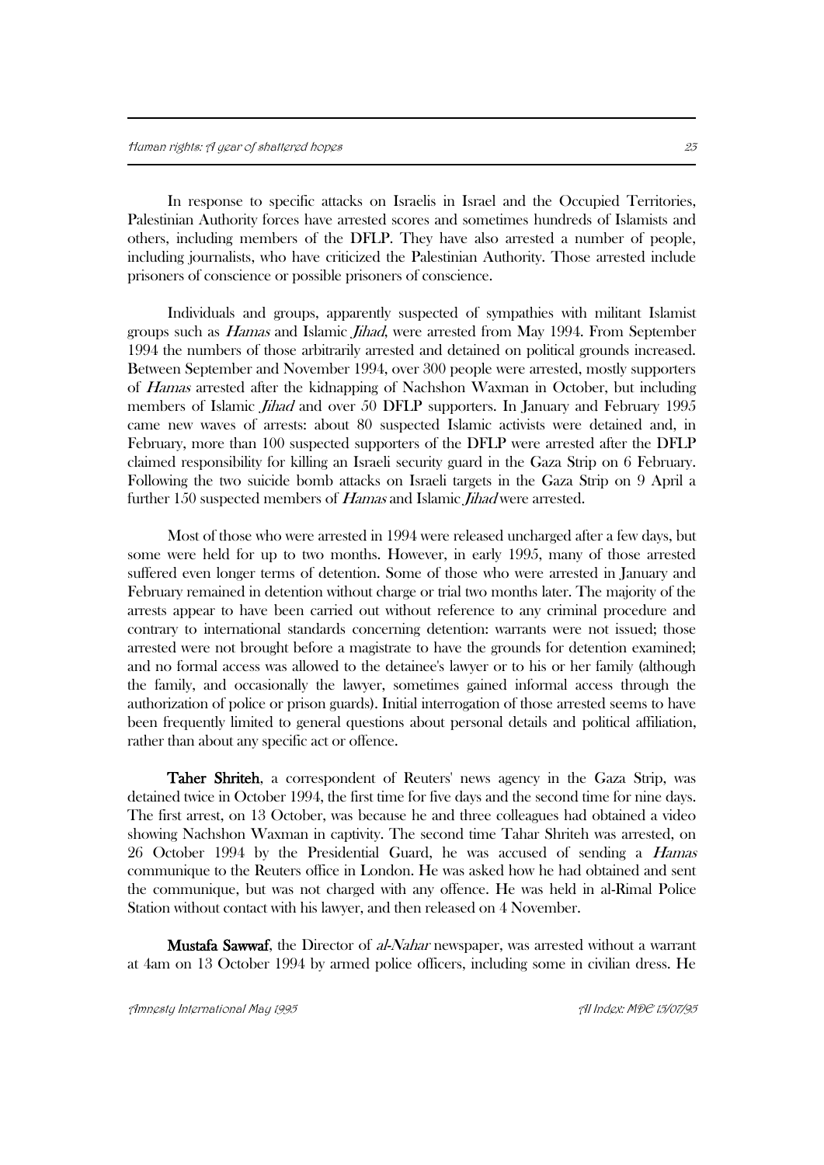In response to specific attacks on Israelis in Israel and the Occupied Territories, Palestinian Authority forces have arrested scores and sometimes hundreds of Islamists and others, including members of the DFLP. They have also arrested a number of people, including journalists, who have criticized the Palestinian Authority. Those arrested include prisoners of conscience or possible prisoners of conscience.

Individuals and groups, apparently suspected of sympathies with militant Islamist groups such as Hamas and Islamic Jihad, were arrested from May 1994. From September 1994 the numbers of those arbitrarily arrested and detained on political grounds increased. Between September and November 1994, over 300 people were arrested, mostly supporters of *Hamas* arrested after the kidnapping of Nachshon Waxman in October, but including members of Islamic Jihad and over 50 DFLP supporters. In January and February 1995 came new waves of arrests: about 80 suspected Islamic activists were detained and, in February, more than 100 suspected supporters of the DFLP were arrested after the DFLP claimed responsibility for killing an Israeli security guard in the Gaza Strip on 6 February. Following the two suicide bomb attacks on Israeli targets in the Gaza Strip on 9 April a further 150 suspected members of Hamas and Islamic Jihad were arrested.

Most of those who were arrested in 1994 were released uncharged after a few days, but some were held for up to two months. However, in early 1995, many of those arrested suffered even longer terms of detention. Some of those who were arrested in January and February remained in detention without charge or trial two months later. The majority of the arrests appear to have been carried out without reference to any criminal procedure and contrary to international standards concerning detention: warrants were not issued; those arrested were not brought before a magistrate to have the grounds for detention examined; and no formal access was allowed to the detainee's lawyer or to his or her family (although the family, and occasionally the lawyer, sometimes gained informal access through the authorization of police or prison guards). Initial interrogation of those arrested seems to have been frequently limited to general questions about personal details and political affiliation, rather than about any specific act or offence.

 Taher Shriteh, a correspondent of Reuters' news agency in the Gaza Strip, was detained twice in October 1994, the first time for five days and the second time for nine days. The first arrest, on 13 October, was because he and three colleagues had obtained a video showing Nachshon Waxman in captivity. The second time Tahar Shriteh was arrested, on 26 October 1994 by the Presidential Guard, he was accused of sending a Hamas communique to the Reuters office in London. He was asked how he had obtained and sent the communique, but was not charged with any offence. He was held in al-Rimal Police Station without contact with his lawyer, and then released on 4 November.

**Mustafa Sawwaf**, the Director of al-Nahar newspaper, was arrested without a warrant at 4am on 13 October 1994 by armed police officers, including some in civilian dress. He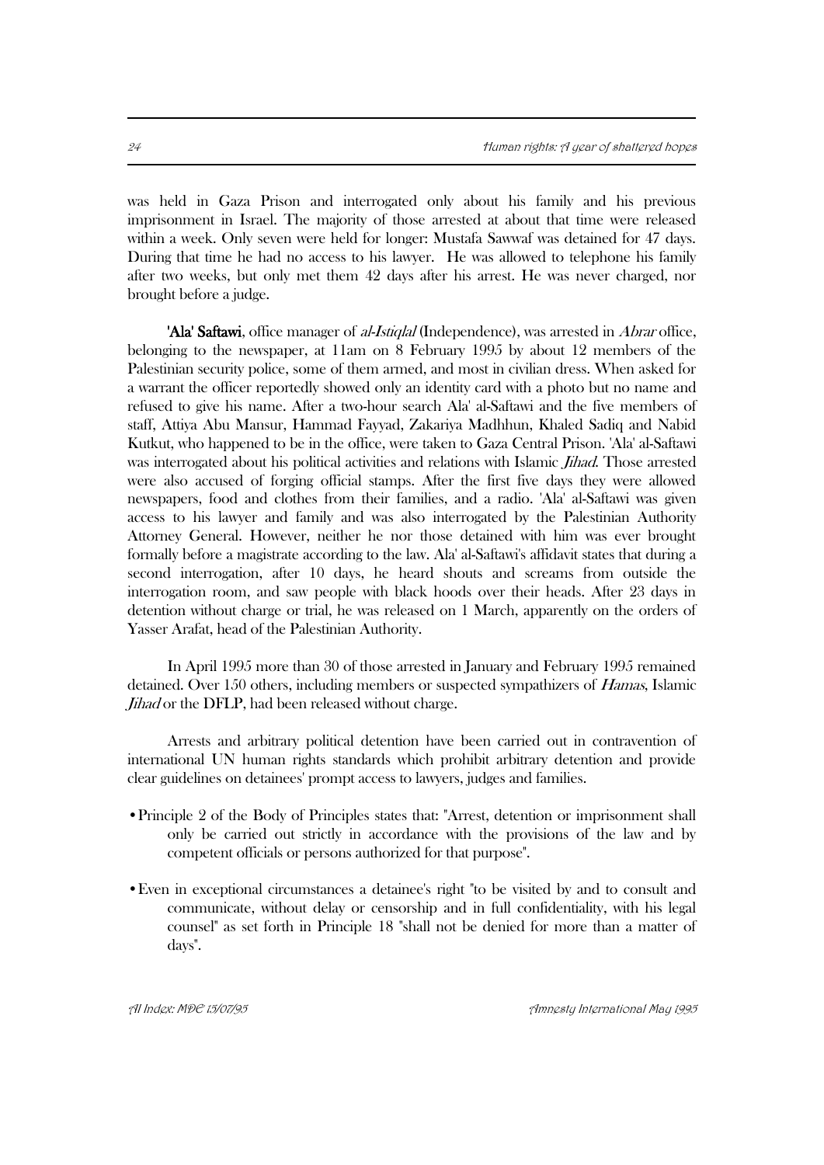was held in Gaza Prison and interrogated only about his family and his previous imprisonment in Israel. The majority of those arrested at about that time were released within a week. Only seven were held for longer: Mustafa Sawwaf was detained for 47 days. During that time he had no access to his lawyer. He was allowed to telephone his family after two weeks, but only met them 42 days after his arrest. He was never charged, nor brought before a judge.

'Ala' Saftawi, office manager of *al-Istiqlal* (Independence), was arrested in *Abrar* office, belonging to the newspaper, at 11am on 8 February 1995 by about 12 members of the Palestinian security police, some of them armed, and most in civilian dress. When asked for a warrant the officer reportedly showed only an identity card with a photo but no name and refused to give his name. After a two-hour search Ala' al-Saftawi and the five members of staff, Attiya Abu Mansur, Hammad Fayyad, Zakariya Madhhun, Khaled Sadiq and Nabid Kutkut, who happened to be in the office, were taken to Gaza Central Prison. 'Ala' al-Saftawi was interrogated about his political activities and relations with Islamic *Jihad*. Those arrested were also accused of forging official stamps. After the first five days they were allowed newspapers, food and clothes from their families, and a radio. 'Ala' al-Saftawi was given access to his lawyer and family and was also interrogated by the Palestinian Authority Attorney General. However, neither he nor those detained with him was ever brought formally before a magistrate according to the law. Ala' al-Saftawi's affidavit states that during a second interrogation, after 10 days, he heard shouts and screams from outside the interrogation room, and saw people with black hoods over their heads. After 23 days in detention without charge or trial, he was released on 1 March, apparently on the orders of Yasser Arafat, head of the Palestinian Authority.

In April 1995 more than 30 of those arrested in January and February 1995 remained detained. Over 150 others, including members or suspected sympathizers of Hamas, Islamic Jihad or the DFLP, had been released without charge.

Arrests and arbitrary political detention have been carried out in contravention of international UN human rights standards which prohibit arbitrary detention and provide clear guidelines on detainees' prompt access to lawyers, judges and families.

- •Principle 2 of the Body of Principles states that: "Arrest, detention or imprisonment shall only be carried out strictly in accordance with the provisions of the law and by competent officials or persons authorized for that purpose".
- •Even in exceptional circumstances a detainee's right "to be visited by and to consult and communicate, without delay or censorship and in full confidentiality, with his legal counsel" as set forth in Principle 18 "shall not be denied for more than a matter of days".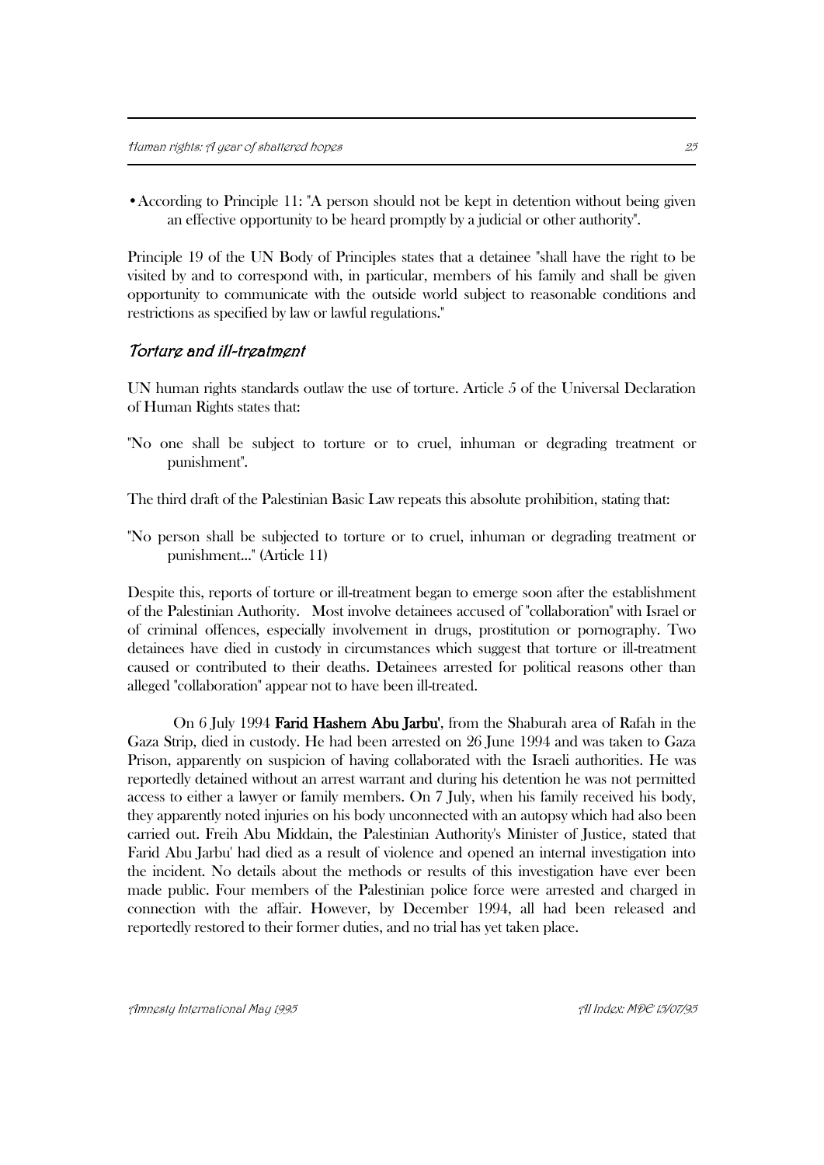•According to Principle 11: "A person should not be kept in detention without being given an effective opportunity to be heard promptly by a judicial or other authority".

Principle 19 of the UN Body of Principles states that a detainee "shall have the right to be visited by and to correspond with, in particular, members of his family and shall be given opportunity to communicate with the outside world subject to reasonable conditions and restrictions as specified by law or lawful regulations."

#### Torture and ill-treatment

UN human rights standards outlaw the use of torture. Article 5 of the Universal Declaration of Human Rights states that:

"No one shall be subject to torture or to cruel, inhuman or degrading treatment or punishment".

The third draft of the Palestinian Basic Law repeats this absolute prohibition, stating that:

"No person shall be subjected to torture or to cruel, inhuman or degrading treatment or punishment..." (Article 11)

Despite this, reports of torture or ill-treatment began to emerge soon after the establishment of the Palestinian Authority. Most involve detainees accused of "collaboration" with Israel or of criminal offences, especially involvement in drugs, prostitution or pornography. Two detainees have died in custody in circumstances which suggest that torture or ill-treatment caused or contributed to their deaths. Detainees arrested for political reasons other than alleged "collaboration" appear not to have been ill-treated.

On 6 July 1994 Farid Hashem Abu Jarbu', from the Shaburah area of Rafah in the Gaza Strip, died in custody. He had been arrested on 26 June 1994 and was taken to Gaza Prison, apparently on suspicion of having collaborated with the Israeli authorities. He was reportedly detained without an arrest warrant and during his detention he was not permitted access to either a lawyer or family members. On 7 July, when his family received his body, they apparently noted injuries on his body unconnected with an autopsy which had also been carried out. Freih Abu Middain, the Palestinian Authority's Minister of Justice, stated that Farid Abu Jarbu' had died as a result of violence and opened an internal investigation into the incident. No details about the methods or results of this investigation have ever been made public. Four members of the Palestinian police force were arrested and charged in connection with the affair. However, by December 1994, all had been released and reportedly restored to their former duties, and no trial has yet taken place.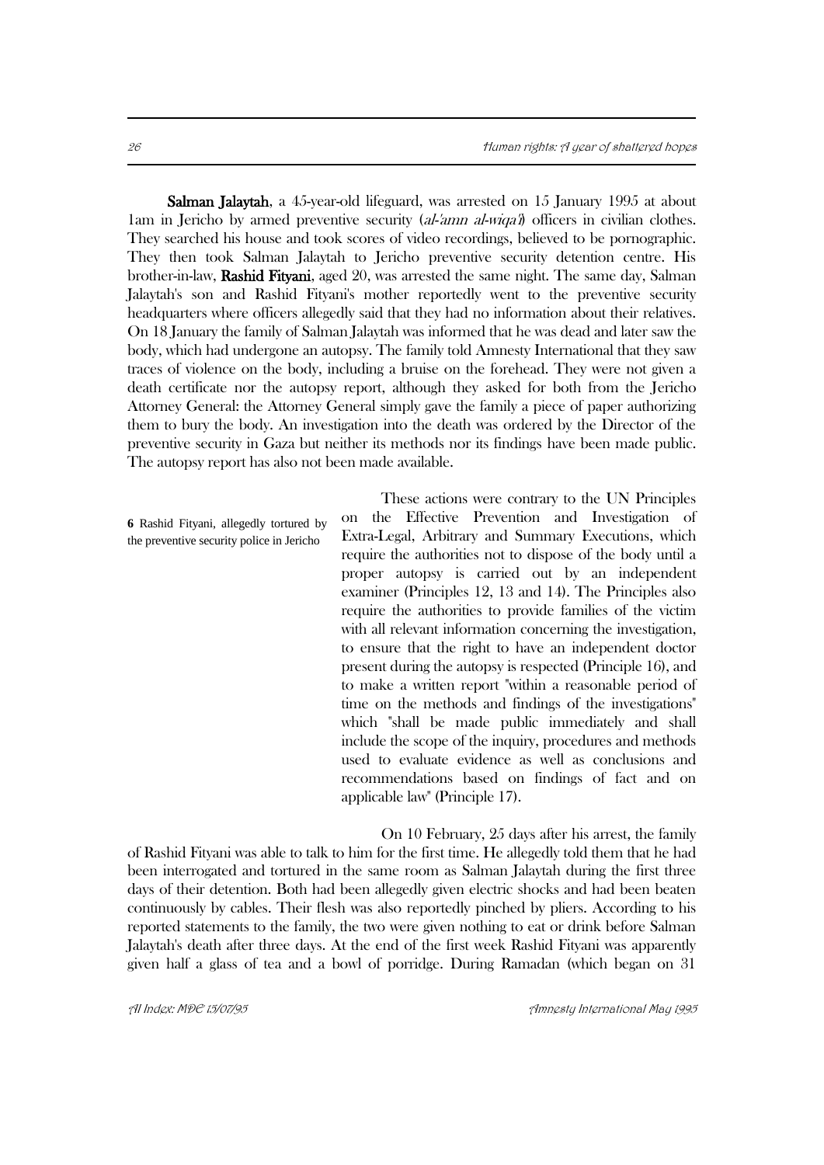Salman Jalaytah, a 45-year-old lifeguard, was arrested on 15 January 1995 at about 1am in Jericho by armed preventive security (al-'amn al-wiqa') officers in civilian clothes. They searched his house and took scores of video recordings, believed to be pornographic. They then took Salman Jalaytah to Jericho preventive security detention centre. His brother-in-law, Rashid Fityani, aged 20, was arrested the same night. The same day, Salman Jalaytah's son and Rashid Fityani's mother reportedly went to the preventive security headquarters where officers allegedly said that they had no information about their relatives. On 18 January the family of Salman Jalaytah was informed that he was dead and later saw the body, which had undergone an autopsy. The family told Amnesty International that they saw traces of violence on the body, including a bruise on the forehead. They were not given a death certificate nor the autopsy report, although they asked for both from the Jericho Attorney General: the Attorney General simply gave the family a piece of paper authorizing them to bury the body. An investigation into the death was ordered by the Director of the preventive security in Gaza but neither its methods nor its findings have been made public. The autopsy report has also not been made available.

**6** Rashid Fityani, allegedly tortured by the preventive security police in Jericho

These actions were contrary to the UN Principles on the Effective Prevention and Investigation of Extra-Legal, Arbitrary and Summary Executions, which require the authorities not to dispose of the body until a proper autopsy is carried out by an independent examiner (Principles 12, 13 and 14). The Principles also require the authorities to provide families of the victim with all relevant information concerning the investigation. to ensure that the right to have an independent doctor present during the autopsy is respected (Principle 16), and to make a written report "within a reasonable period of time on the methods and findings of the investigations" which "shall be made public immediately and shall include the scope of the inquiry, procedures and methods used to evaluate evidence as well as conclusions and recommendations based on findings of fact and on applicable law" (Principle 17).

On 10 February, 25 days after his arrest, the family of Rashid Fityani was able to talk to him for the first time. He allegedly told them that he had been interrogated and tortured in the same room as Salman Jalaytah during the first three days of their detention. Both had been allegedly given electric shocks and had been beaten continuously by cables. Their flesh was also reportedly pinched by pliers. According to his reported statements to the family, the two were given nothing to eat or drink before Salman Jalaytah's death after three days. At the end of the first week Rashid Fityani was apparently given half a glass of tea and a bowl of porridge. During Ramadan (which began on 31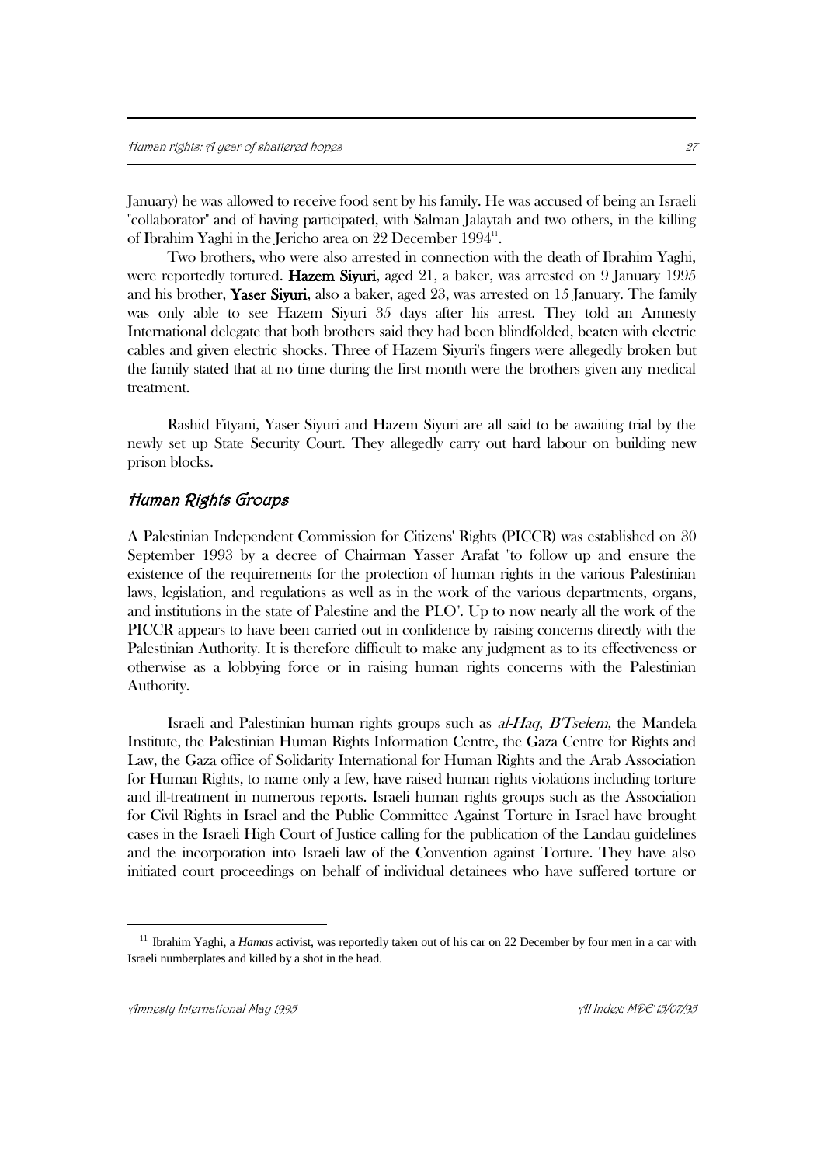January) he was allowed to receive food sent by his family. He was accused of being an Israeli "collaborator" and of having participated, with Salman Jalaytah and two others, in the killing of Ibrahim Yaghi in the Jericho area on 22 December 1994".

Two brothers, who were also arrested in connection with the death of Ibrahim Yaghi, were reportedly tortured. **Hazem Siyuri**, aged 21, a baker, was arrested on 9 January 1995 and his brother, Yaser Siyuri, also a baker, aged 23, was arrested on 15 January. The family was only able to see Hazem Siyuri 35 days after his arrest. They told an Amnesty International delegate that both brothers said they had been blindfolded, beaten with electric cables and given electric shocks. Three of Hazem Siyuri's fingers were allegedly broken but the family stated that at no time during the first month were the brothers given any medical treatment.

Rashid Fityani, Yaser Siyuri and Hazem Siyuri are all said to be awaiting trial by the newly set up State Security Court. They allegedly carry out hard labour on building new prison blocks.

#### Human Rights Groups

A Palestinian Independent Commission for Citizens' Rights (PICCR) was established on 30 September 1993 by a decree of Chairman Yasser Arafat "to follow up and ensure the existence of the requirements for the protection of human rights in the various Palestinian laws, legislation, and regulations as well as in the work of the various departments, organs, and institutions in the state of Palestine and the PLO". Up to now nearly all the work of the PICCR appears to have been carried out in confidence by raising concerns directly with the Palestinian Authority. It is therefore difficult to make any judgment as to its effectiveness or otherwise as a lobbying force or in raising human rights concerns with the Palestinian Authority.

Israeli and Palestinian human rights groups such as al-Haq, B'Tselem, the Mandela Institute, the Palestinian Human Rights Information Centre, the Gaza Centre for Rights and Law, the Gaza office of Solidarity International for Human Rights and the Arab Association for Human Rights, to name only a few, have raised human rights violations including torture and ill-treatment in numerous reports. Israeli human rights groups such as the Association for Civil Rights in Israel and the Public Committee Against Torture in Israel have brought cases in the Israeli High Court of Justice calling for the publication of the Landau guidelines and the incorporation into Israeli law of the Convention against Torture. They have also initiated court proceedings on behalf of individual detainees who have suffered torture or

<sup>&</sup>lt;sup>11</sup> Ibrahim Yaghi, a *Hamas* activist, was reportedly taken out of his car on 22 December by four men in a car with Israeli numberplates and killed by a shot in the head.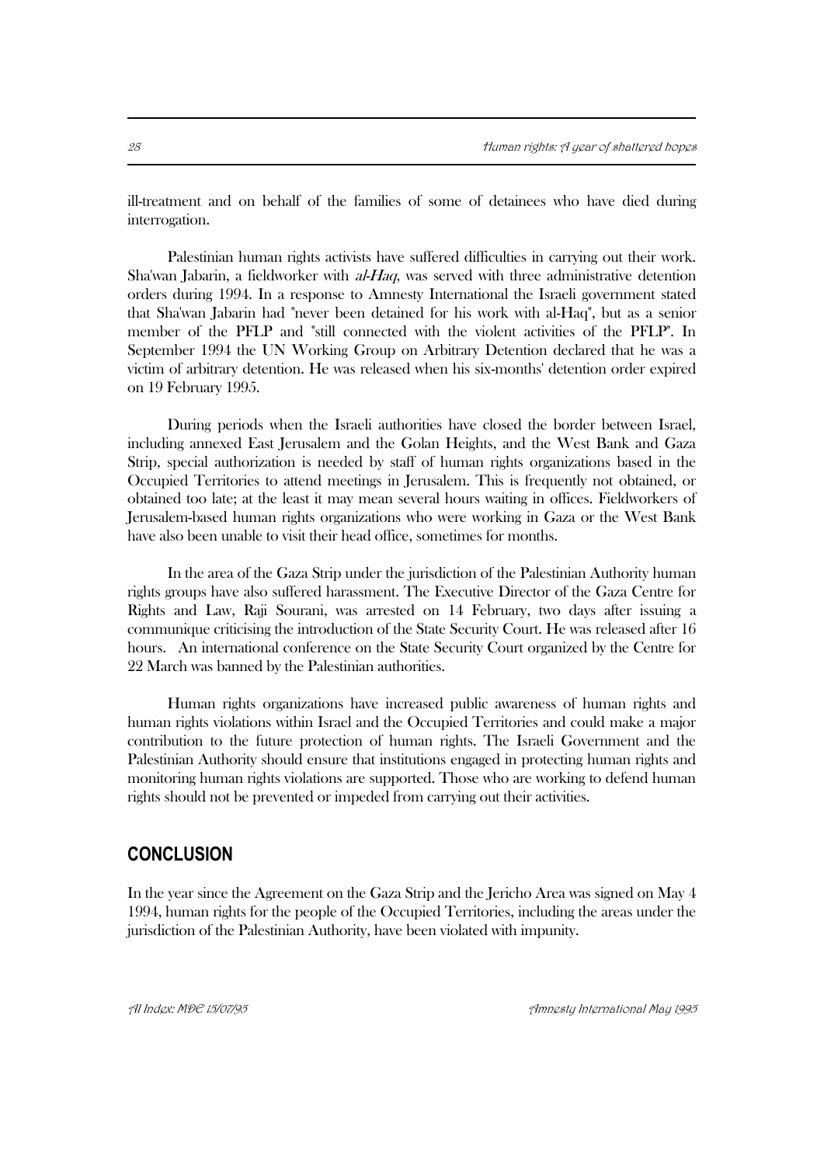ill-treatment and on behalf of the families of some of detainees who have died during interrogation.

Palestinian human rights activists have suffered difficulties in carrying out their work. Sha'wan Jabarin, a fieldworker with al-Haq, was served with three administrative detention orders during 1994. In a response to Amnesty International the Israeli government stated that Sha'wan Jabarin had "never been detained for his work with al-Haq", but as a senior member of the PFLP and "still connected with the violent activities of the PFLP". In September 1994 the UN Working Group on Arbitrary Detention declared that he was a victim of arbitrary detention. He was released when his six-months' detention order expired on 19 February 1995.

During periods when the Israeli authorities have closed the border between Israel, including annexed East Jerusalem and the Golan Heights, and the West Bank and Gaza Strip, special authorization is needed by staff of human rights organizations based in the Occupied Territories to attend meetings in Jerusalem. This is frequently not obtained, or obtained too late; at the least it may mean several hours waiting in offices. Fieldworkers of Jerusalem-based human rights organizations who were working in Gaza or the West Bank have also been unable to visit their head office, sometimes for months.

In the area of the Gaza Strip under the jurisdiction of the Palestinian Authority human rights groups have also suffered harassment. The Executive Director of the Gaza Centre for Rights and Law, Raji Sourani, was arrested on 14 February, two days after issuing a communique criticising the introduction of the State Security Court. He was released after 16 hours. An international conference on the State Security Court organized by the Centre for 22 March was banned by the Palestinian authorities.

Human rights organizations have increased public awareness of human rights and human rights violations within Israel and the Occupied Territories and could make a major contribution to the future protection of human rights. The Israeli Government and the Palestinian Authority should ensure that institutions engaged in protecting human rights and monitoring human rights violations are supported. Those who are working to defend human rights should not be prevented or impeded from carrying out their activities.

## **CONCLUSION**

In the year since the Agreement on the Gaza Strip and the Jericho Area was signed on May 4 1994, human rights for the people of the Occupied Territories, including the areas under the jurisdiction of the Palestinian Authority, have been violated with impunity.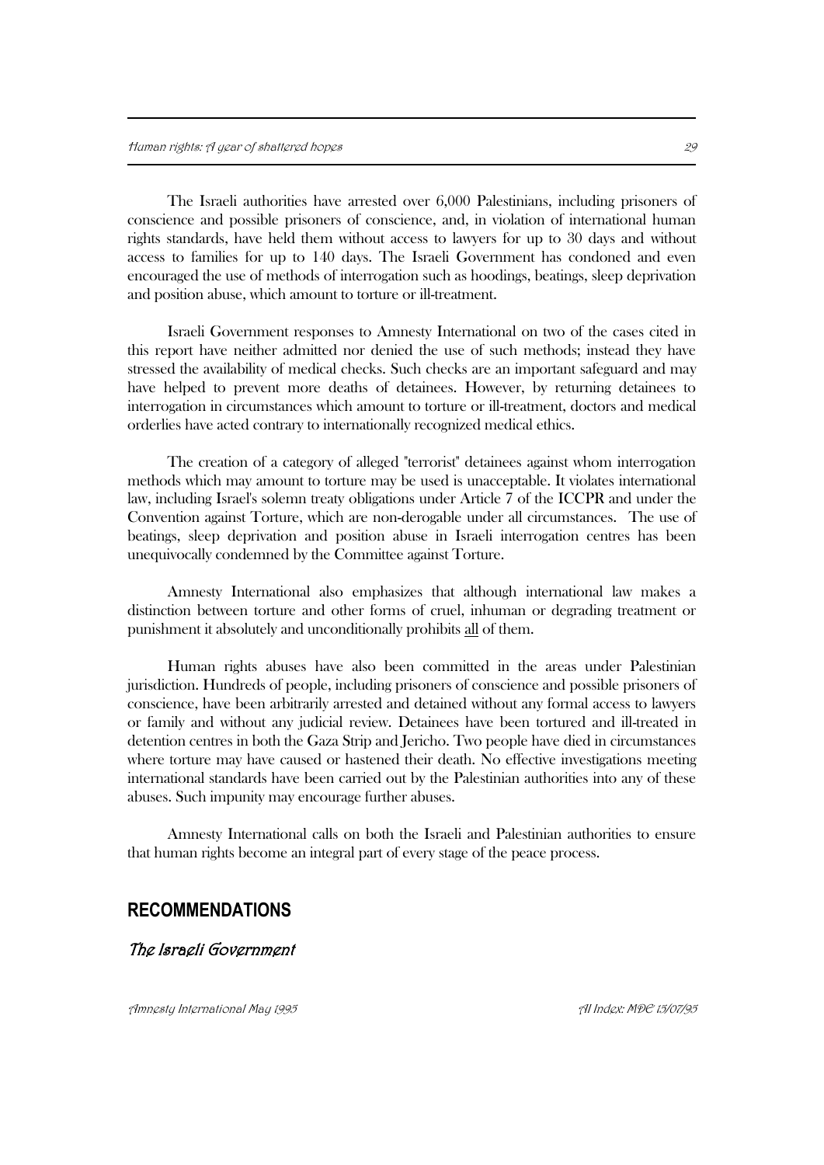The Israeli authorities have arrested over 6,000 Palestinians, including prisoners of conscience and possible prisoners of conscience, and, in violation of international human rights standards, have held them without access to lawyers for up to 30 days and without access to families for up to 140 days. The Israeli Government has condoned and even encouraged the use of methods of interrogation such as hoodings, beatings, sleep deprivation and position abuse, which amount to torture or ill-treatment.

Israeli Government responses to Amnesty International on two of the cases cited in this report have neither admitted nor denied the use of such methods; instead they have stressed the availability of medical checks. Such checks are an important safeguard and may have helped to prevent more deaths of detainees. However, by returning detainees to interrogation in circumstances which amount to torture or ill-treatment, doctors and medical orderlies have acted contrary to internationally recognized medical ethics.

The creation of a category of alleged "terrorist" detainees against whom interrogation methods which may amount to torture may be used is unacceptable. It violates international law, including Israel's solemn treaty obligations under Article 7 of the ICCPR and under the Convention against Torture, which are non-derogable under all circumstances. The use of beatings, sleep deprivation and position abuse in Israeli interrogation centres has been unequivocally condemned by the Committee against Torture.

Amnesty International also emphasizes that although international law makes a distinction between torture and other forms of cruel, inhuman or degrading treatment or punishment it absolutely and unconditionally prohibits all of them.

Human rights abuses have also been committed in the areas under Palestinian jurisdiction. Hundreds of people, including prisoners of conscience and possible prisoners of conscience, have been arbitrarily arrested and detained without any formal access to lawyers or family and without any judicial review. Detainees have been tortured and ill-treated in detention centres in both the Gaza Strip and Jericho. Two people have died in circumstances where torture may have caused or hastened their death. No effective investigations meeting international standards have been carried out by the Palestinian authorities into any of these abuses. Such impunity may encourage further abuses.

Amnesty International calls on both the Israeli and Palestinian authorities to ensure that human rights become an integral part of every stage of the peace process.

### **RECOMMENDATIONS**

#### The Israeli Government

Amnesta International Maa 1995 And and the second term of the second term of the three controls of the 15/07/95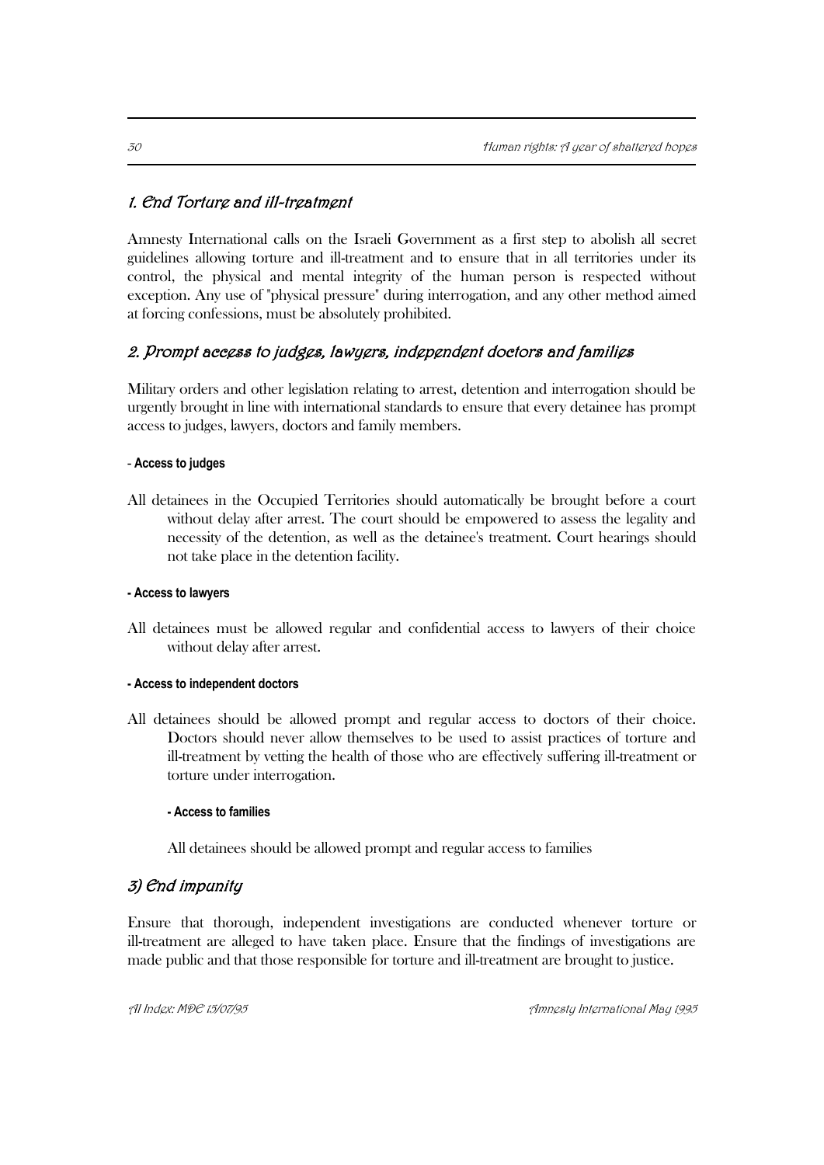## 1. End Torture and ill-treatment

Amnesty International calls on the Israeli Government as a first step to abolish all secret guidelines allowing torture and ill-treatment and to ensure that in all territories under its control, the physical and mental integrity of the human person is respected without exception. Any use of "physical pressure" during interrogation, and any other method aimed at forcing confessions, must be absolutely prohibited.

## 2. Prompt access to judges, lawyers, independent doctors and families

Military orders and other legislation relating to arrest, detention and interrogation should be urgently brought in line with international standards to ensure that every detainee has prompt access to judges, lawyers, doctors and family members.

#### - **Access to judges**

All detainees in the Occupied Territories should automatically be brought before a court without delay after arrest. The court should be empowered to assess the legality and necessity of the detention, as well as the detainee's treatment. Court hearings should not take place in the detention facility.

#### **- Access to lawyers**

All detainees must be allowed regular and confidential access to lawyers of their choice without delay after arrest.

#### **- Access to independent doctors**

All detainees should be allowed prompt and regular access to doctors of their choice. Doctors should never allow themselves to be used to assist practices of torture and ill-treatment by vetting the health of those who are effectively suffering ill-treatment or torture under interrogation.

#### **- Access to families**

All detainees should be allowed prompt and regular access to families

## 3) End impunity

Ensure that thorough, independent investigations are conducted whenever torture or ill-treatment are alleged to have taken place. Ensure that the findings of investigations are made public and that those responsible for torture and ill-treatment are brought to justice.